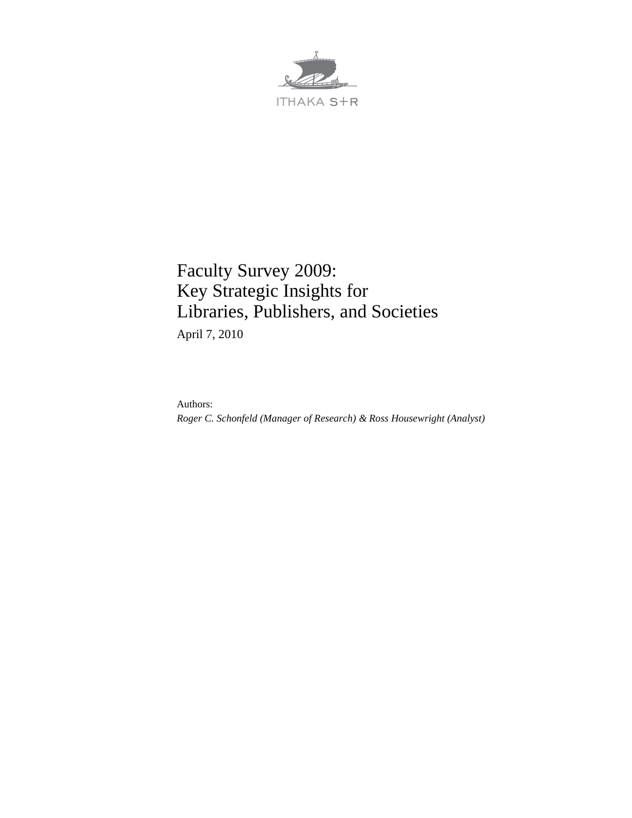

# Faculty Survey 2009: Key Strategic Insights for Libraries, Publishers, and Societies

April 7, 2010

Authors: *Roger C. Schonfeld (Manager of Research) & Ross Housewright (Analyst)*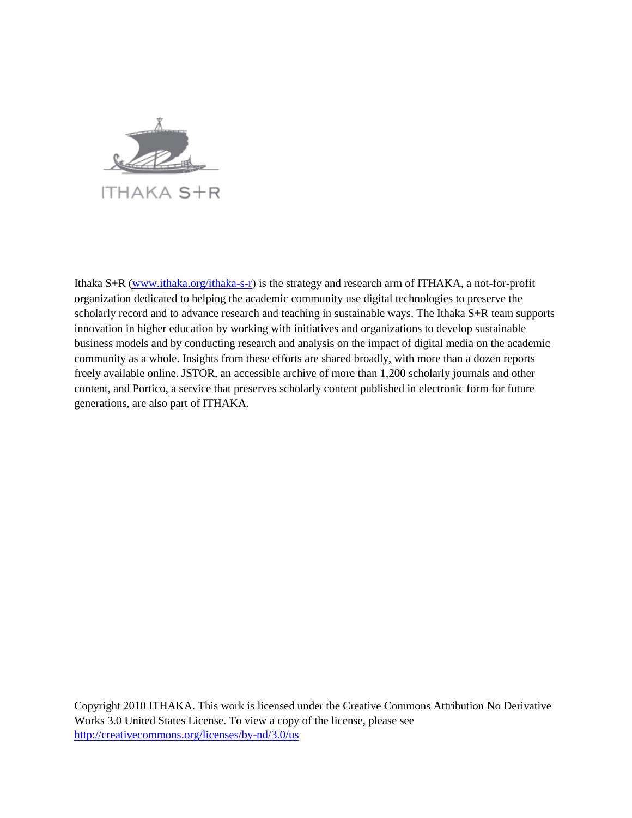

Ithaka S+R [\(www.ithaka.org/ithaka-s-r\)](http://www.ithaka.org/ithaka-s-r) is the strategy and research arm of ITHAKA, a not-for-profit organization dedicated to helping the academic community use digital technologies to preserve the scholarly record and to advance research and teaching in sustainable ways. The Ithaka S+R team supports innovation in higher education by working with initiatives and organizations to develop sustainable business models and by conducting research and analysis on the impact of digital media on the academic community as a whole. Insights from these efforts are shared broadly, with more than a dozen reports freely available online. JSTOR, an accessible archive of more than 1,200 scholarly journals and other content, and Portico, a service that preserves scholarly content published in electronic form for future generations, are also part of ITHAKA.

Copyright 2010 ITHAKA. This work is licensed under the Creative Commons Attribution No Derivative Works 3.0 United States License. To view a copy of the license, please see http://creativecommons.org/licenses/by-nd/3.0/us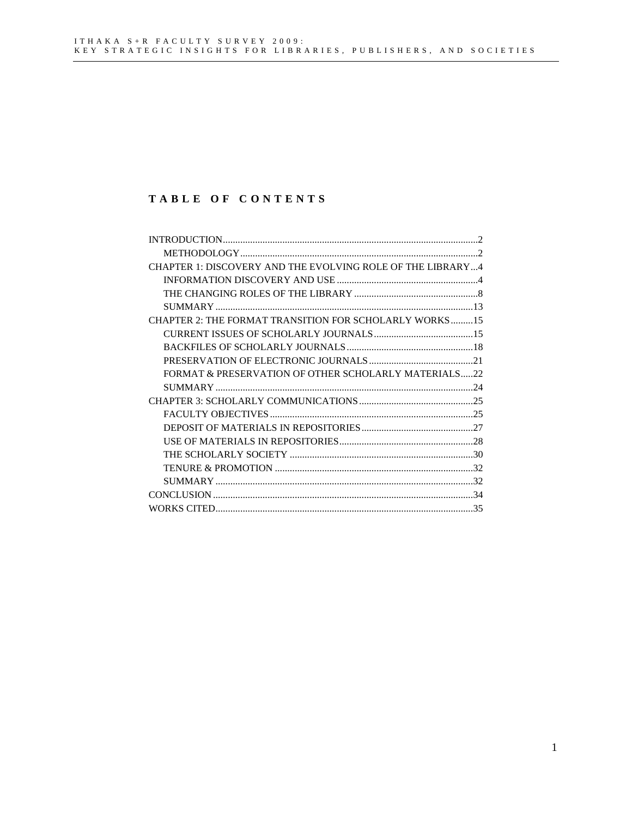## **T A B L E O F C O N T E N T S**

| CHAPTER 1: DISCOVERY AND THE EVOLVING ROLE OF THE LIBRARY4 |  |
|------------------------------------------------------------|--|
|                                                            |  |
|                                                            |  |
|                                                            |  |
| CHAPTER 2: THE FORMAT TRANSITION FOR SCHOLARLY WORKS15     |  |
|                                                            |  |
|                                                            |  |
|                                                            |  |
| FORMAT & PRESERVATION OF OTHER SCHOLARLY MATERIALS22       |  |
|                                                            |  |
|                                                            |  |
|                                                            |  |
|                                                            |  |
|                                                            |  |
|                                                            |  |
|                                                            |  |
|                                                            |  |
|                                                            |  |
|                                                            |  |
|                                                            |  |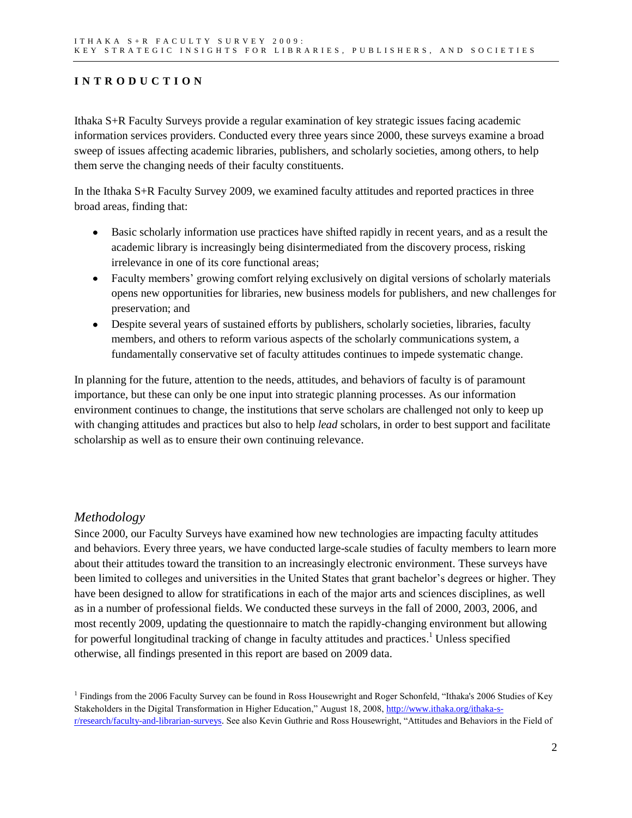#### <span id="page-3-0"></span>**I N T R O D U C T I O N**

Ithaka S+R Faculty Surveys provide a regular examination of key strategic issues facing academic information services providers. Conducted every three years since 2000, these surveys examine a broad sweep of issues affecting academic libraries, publishers, and scholarly societies, among others, to help them serve the changing needs of their faculty constituents.

In the Ithaka S+R Faculty Survey 2009, we examined faculty attitudes and reported practices in three broad areas, finding that:

- Basic scholarly information use practices have shifted rapidly in recent years, and as a result the academic library is increasingly being disintermediated from the discovery process, risking irrelevance in one of its core functional areas;
- Faculty members' growing comfort relying exclusively on digital versions of scholarly materials opens new opportunities for libraries, new business models for publishers, and new challenges for preservation; and
- Despite several years of sustained efforts by publishers, scholarly societies, libraries, faculty members, and others to reform various aspects of the scholarly communications system, a fundamentally conservative set of faculty attitudes continues to impede systematic change.

In planning for the future, attention to the needs, attitudes, and behaviors of faculty is of paramount importance, but these can only be one input into strategic planning processes. As our information environment continues to change, the institutions that serve scholars are challenged not only to keep up with changing attitudes and practices but also to help *lead* scholars, in order to best support and facilitate scholarship as well as to ensure their own continuing relevance.

## <span id="page-3-1"></span>*Methodology*

Since 2000, our Faculty Surveys have examined how new technologies are impacting faculty attitudes and behaviors. Every three years, we have conducted large-scale studies of faculty members to learn more about their attitudes toward the transition to an increasingly electronic environment. These surveys have been limited to colleges and universities in the United States that grant bachelor's degrees or higher. They have been designed to allow for stratifications in each of the major arts and sciences disciplines, as well as in a number of professional fields. We conducted these surveys in the fall of 2000, 2003, 2006, and most recently 2009, updating the questionnaire to match the rapidly-changing environment but allowing for powerful longitudinal tracking of change in faculty attitudes and practices.<sup>1</sup> Unless specified otherwise, all findings presented in this report are based on 2009 data.

<sup>1</sup> Findings from the 2006 Faculty Survey can be found in Ross Housewright and Roger Schonfeld, "Ithaka's 2006 Studies of Key Stakeholders in the Digital Transformation in Higher Education," August 18, 2008[, http://www.ithaka.org/ithaka-s](http://www.ithaka.org/ithaka-s-r/research/faculty-and-librarian-surveys)[r/research/faculty-and-librarian-surveys.](http://www.ithaka.org/ithaka-s-r/research/faculty-and-librarian-surveys) See also Kevin Guthrie and Ross Housewright, "Attitudes and Behaviors in the Field of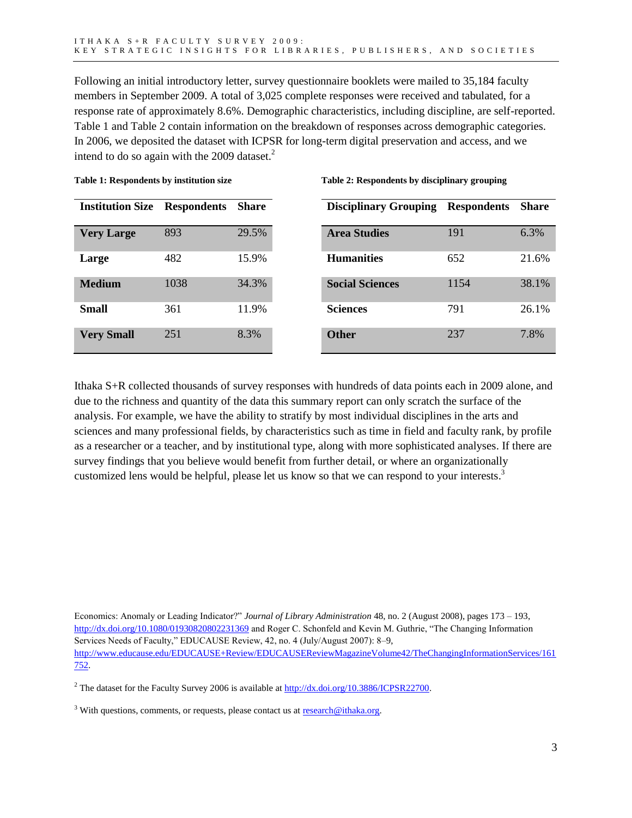Following an initial introductory letter, survey questionnaire booklets were mailed to 35,184 faculty members in September 2009. A total of 3,025 complete responses were received and tabulated, for a response rate of approximately 8.6%. Demographic characteristics, including discipline, are self-reported. [Table 1](#page-4-0) an[d Table 2](#page-4-1) contain information on the breakdown of responses across demographic categories. In 2006, we deposited the dataset with ICPSR for long-term digital preservation and access, and we intend to do so again with the 2009 dataset. $2^2$ 

<span id="page-4-1"></span>**Table 2: Respondents by disciplinary grouping**

| <b>Institution Size</b> | <b>Respondents</b> | <b>Share</b> | <b>Disciplinary Grouping</b> | <b>Respondents</b> | <b>Share</b> |
|-------------------------|--------------------|--------------|------------------------------|--------------------|--------------|
| <b>Very Large</b>       | 893                | 29.5%        | <b>Area Studies</b>          | 191                | 6.3%         |
| Large                   | 482                | 15.9%        | <b>Humanities</b>            | 652                | 21.6%        |
| <b>Medium</b>           | 1038               | 34.3%        | <b>Social Sciences</b>       | 1154               | 38.1%        |
| Small                   | 361                | 11.9%        | <b>Sciences</b>              | 791                | 26.1%        |
| <b>Very Small</b>       | 251                | 8.3%         | <b>Other</b>                 | 237                | 7.8%         |

<span id="page-4-0"></span>**Table 1: Respondents by institution size**

Ithaka S+R collected thousands of survey responses with hundreds of data points each in 2009 alone, and due to the richness and quantity of the data this summary report can only scratch the surface of the analysis. For example, we have the ability to stratify by most individual disciplines in the arts and sciences and many professional fields, by characteristics such as time in field and faculty rank, by profile as a researcher or a teacher, and by institutional type, along with more sophisticated analyses. If there are survey findings that you believe would benefit from further detail, or where an organizationally customized lens would be helpful, please let us know so that we can respond to your interests.<sup>3</sup>

Economics: Anomaly or Leading Indicator?" *Journal of Library Administration* 48, no. 2 (August 2008), pages 173 – 193, <http://dx.doi.org/10.1080/01930820802231369> and Roger C. Schonfeld and Kevin M. Guthrie, "The Changing Information Services Needs of Faculty," EDUCAUSE Review, 42, no. 4 (July/August 2007): 8–9, [http://www.educause.edu/EDUCAUSE+Review/EDUCAUSEReviewMagazineVolume42/TheChangingInformationServices/161](http://www.educause.edu/EDUCAUSE+Review/EDUCAUSEReviewMagazineVolume42/TheChangingInformationServices/161752) [752.](http://www.educause.edu/EDUCAUSE+Review/EDUCAUSEReviewMagazineVolume42/TheChangingInformationServices/161752) 

<sup>2</sup> The dataset for the Faculty Survey 2006 is available at  $\frac{http://dx.doi.org/10.3886/ICPSR22700}{http://dx.doi.org/10.3886/ICPSR22700}.$ 

 $3$  With questions, comments, or requests, please contact us at [research@ithaka.org.](mailto:research@ithaka.org)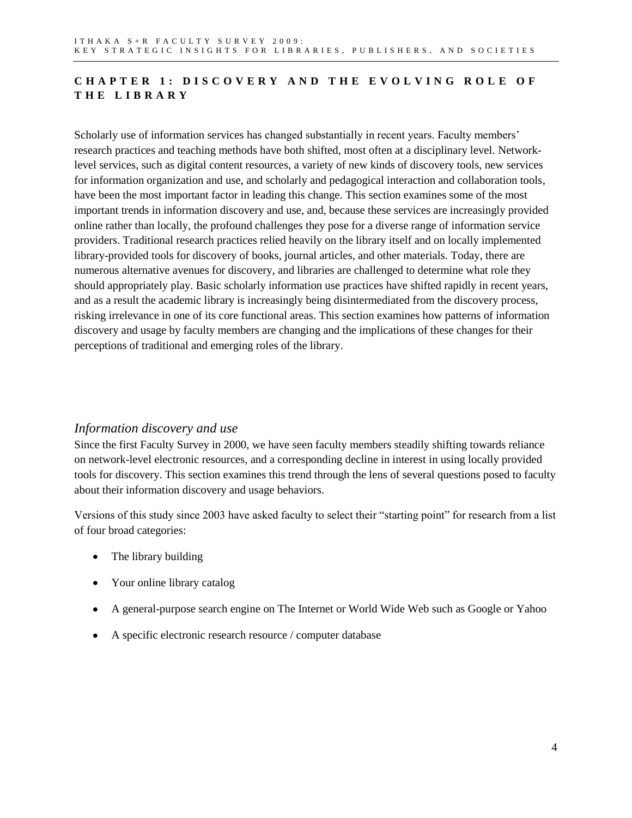## <span id="page-5-0"></span>**CHAPTER 1: DISCOVERY AND THE EVOLVING ROLE OF T H E L I B R A R Y**

Scholarly use of information services has changed substantially in recent years. Faculty members' research practices and teaching methods have both shifted, most often at a disciplinary level. Networklevel services, such as digital content resources, a variety of new kinds of discovery tools, new services for information organization and use, and scholarly and pedagogical interaction and collaboration tools, have been the most important factor in leading this change. This section examines some of the most important trends in information discovery and use, and, because these services are increasingly provided online rather than locally, the profound challenges they pose for a diverse range of information service providers. Traditional research practices relied heavily on the library itself and on locally implemented library-provided tools for discovery of books, journal articles, and other materials. Today, there are numerous alternative avenues for discovery, and libraries are challenged to determine what role they should appropriately play. Basic scholarly information use practices have shifted rapidly in recent years, and as a result the academic library is increasingly being disintermediated from the discovery process, risking irrelevance in one of its core functional areas. This section examines how patterns of information discovery and usage by faculty members are changing and the implications of these changes for their perceptions of traditional and emerging roles of the library.

#### <span id="page-5-1"></span>*Information discovery and use*

Since the first Faculty Survey in 2000, we have seen faculty members steadily shifting towards reliance on network-level electronic resources, and a corresponding decline in interest in using locally provided tools for discovery. This section examines this trend through the lens of several questions posed to faculty about their information discovery and usage behaviors.

Versions of this study since 2003 have asked faculty to select their "starting point" for research from a list of four broad categories:

- $\bullet$ The library building
- Your online library catalog
- A general-purpose search engine on The Internet or World Wide Web such as Google or Yahoo  $\bullet$
- A specific electronic research resource / computer database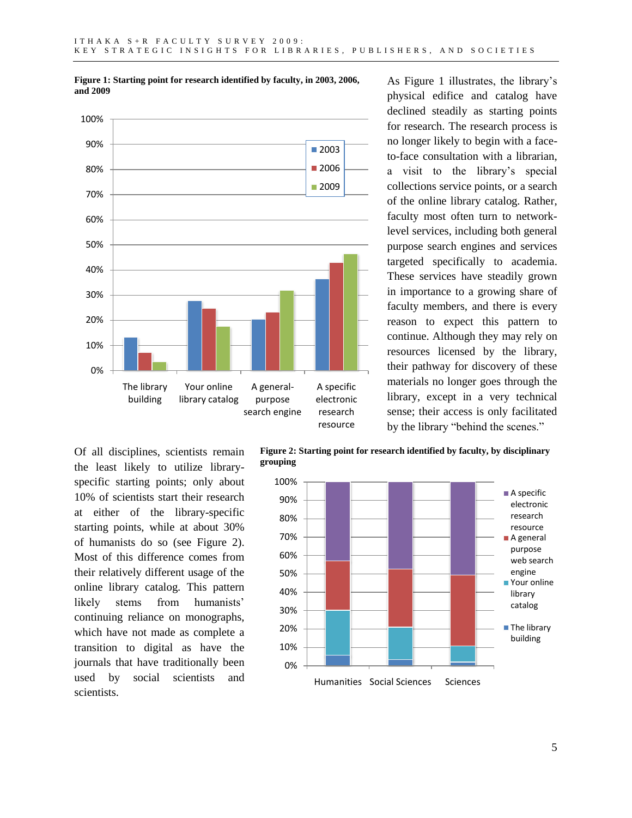

<span id="page-6-0"></span>**Figure 1: Starting point for research identified by faculty, in 2003, 2006, and 2009**

As [Figure 1](#page-6-0) illustrates, the library"s physical edifice and catalog have declined steadily as starting points for research. The research process is no longer likely to begin with a faceto-face consultation with a librarian, a visit to the library"s special collections service points, or a search of the online library catalog. Rather, faculty most often turn to networklevel services, including both general purpose search engines and services targeted specifically to academia. These services have steadily grown in importance to a growing share of faculty members, and there is every reason to expect this pattern to continue. Although they may rely on resources licensed by the library, their pathway for discovery of these materials no longer goes through the library, except in a very technical sense; their access is only facilitated by the library "behind the scenes."

Of all disciplines, scientists remain the least likely to utilize libraryspecific starting points; only about 10% of scientists start their research at either of the library-specific starting points, while at about 30% of humanists do so (see [Figure 2\)](#page-6-1). Most of this difference comes from their relatively different usage of the online library catalog. This pattern likely stems from humanists' continuing reliance on monographs, which have not made as complete a transition to digital as have the journals that have traditionally been used by social scientists and scientists.

<span id="page-6-1"></span>

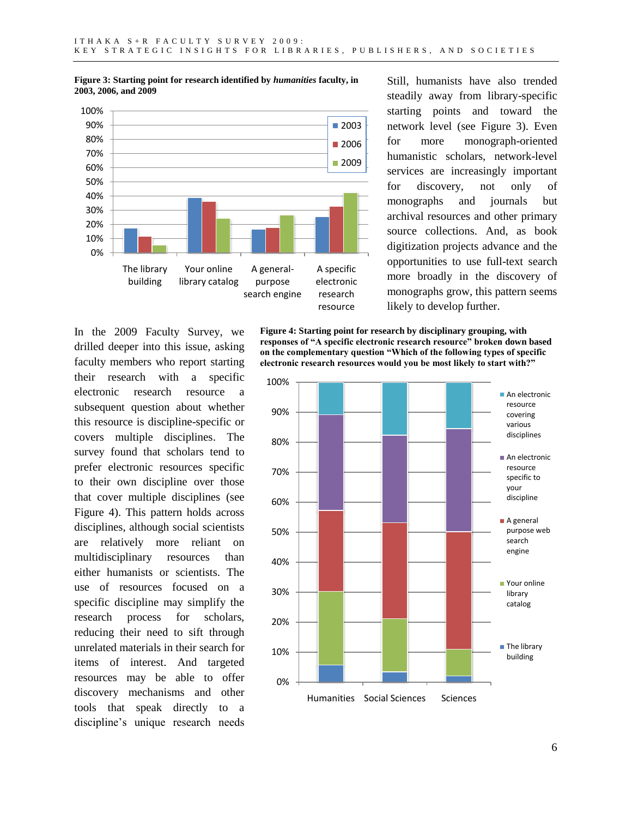

<span id="page-7-0"></span>**Figure 3: Starting point for research identified by** *humanities* **faculty, in 2003, 2006, and 2009**

Still, humanists have also trended steadily away from library-specific starting points and toward the network level (see [Figure 3\)](#page-7-0). Even for more monograph-oriented humanistic scholars, network-level services are increasingly important for discovery, not only of monographs and journals but archival resources and other primary source collections. And, as book digitization projects advance and the opportunities to use full-text search more broadly in the discovery of monographs grow, this pattern seems likely to develop further.

<span id="page-7-1"></span>**Figure 4: Starting point for research by disciplinary grouping, with responses of "A specific electronic research resource" broken down based on the complementary question "Which of the following types of specific electronic research resources would you be most likely to start with?"**



drilled deeper into this issue, asking faculty members who report starting their research with a specific electronic research resource subsequent question about whether this resource is discipline-specific or covers multiple disciplines. The survey found that scholars tend to prefer electronic resources specific to their own discipline over those that cover multiple disciplines (see [Figure 4\)](#page-7-1). This pattern holds across disciplines, although social scientists are relatively more reliant on multidisciplinary resources than either humanists or scientists. The use of resources focused on a specific discipline may simplify the research process for scholars, reducing their need to sift through unrelated materials in their search for items of interest. And targeted resources may be able to offer discovery mechanisms and other tools that speak directly to a discipline"s unique research needs

In the 2009 Faculty Survey, we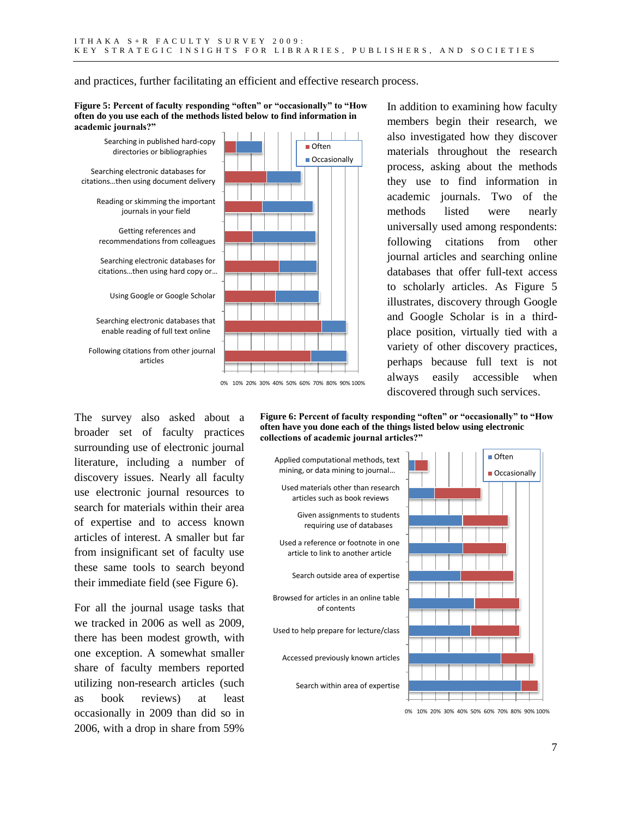0% 10% 20% 30% 40% 50% 60% 70% 80% 90% 100%

and practices, further facilitating an efficient and effective research process.

<span id="page-8-0"></span>**Figure 5: Percent of faculty responding "often" or "occasionally" to "How often do you use each of the methods listed below to find information in academic journals?"** 



In addition to examining how faculty members begin their research, we also investigated how they discover materials throughout the research process, asking about the methods they use to find information in academic journals. Two of the methods listed were nearly universally used among respondents: following citations from other journal articles and searching online databases that offer full-text access to scholarly articles. As [Figure 5](#page-8-0) illustrates, discovery through Google and Google Scholar is in a thirdplace position, virtually tied with a variety of other discovery practices, perhaps because full text is not always easily accessible when discovered through such services.

The survey also asked about a broader set of faculty practices surrounding use of electronic journal literature, including a number of discovery issues. Nearly all faculty use electronic journal resources to search for materials within their area

of expertise and to access known articles of interest. A smaller but far from insignificant set of faculty use these same tools to search beyond their immediate field (see [Figure 6\)](#page-8-1).

For all the journal usage tasks that we tracked in 2006 as well as 2009, there has been modest growth, with one exception. A somewhat smaller share of faculty members reported utilizing non-research articles (such as book reviews) at least occasionally in 2009 than did so in 2006, with a drop in share from 59%

<span id="page-8-1"></span>**Figure 6: Percent of faculty responding "often" or "occasionally" to "How often have you done each of the things listed below using electronic collections of academic journal articles?"**



0% 10% 20% 30% 40% 50% 60% 70% 80% 90% 100%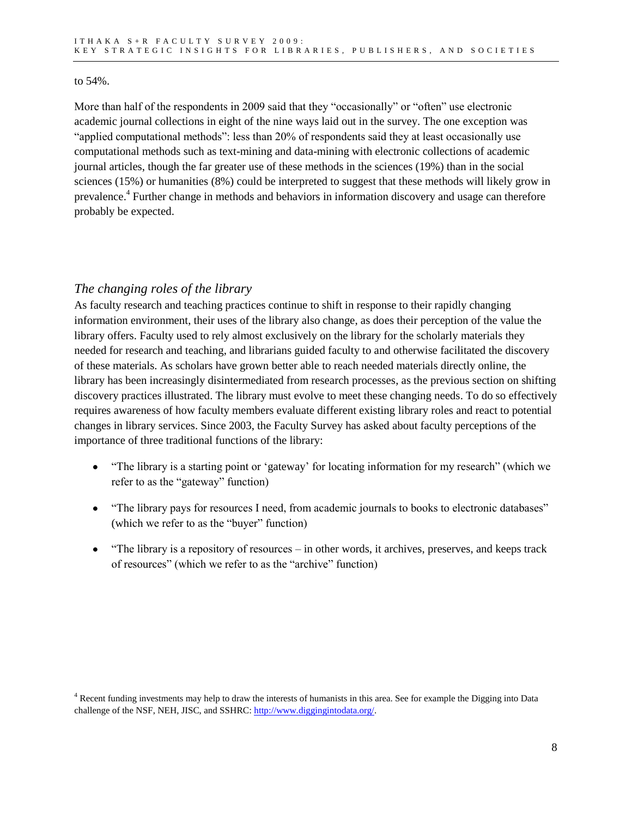#### to 54%.

More than half of the respondents in 2009 said that they "occasionally" or "often" use electronic academic journal collections in eight of the nine ways laid out in the survey. The one exception was "applied computational methods": less than 20% of respondents said they at least occasionally use computational methods such as text-mining and data-mining with electronic collections of academic journal articles, though the far greater use of these methods in the sciences (19%) than in the social sciences (15%) or humanities (8%) could be interpreted to suggest that these methods will likely grow in prevalence.<sup>4</sup> Further change in methods and behaviors in information discovery and usage can therefore probably be expected.

#### <span id="page-9-0"></span>*The changing roles of the library*

As faculty research and teaching practices continue to shift in response to their rapidly changing information environment, their uses of the library also change, as does their perception of the value the library offers. Faculty used to rely almost exclusively on the library for the scholarly materials they needed for research and teaching, and librarians guided faculty to and otherwise facilitated the discovery of these materials. As scholars have grown better able to reach needed materials directly online, the library has been increasingly disintermediated from research processes, as the previous section on shifting discovery practices illustrated. The library must evolve to meet these changing needs. To do so effectively requires awareness of how faculty members evaluate different existing library roles and react to potential changes in library services. Since 2003, the Faculty Survey has asked about faculty perceptions of the importance of three traditional functions of the library:

- "The library is a starting point or "gateway" for locating information for my research" (which we refer to as the "gateway" function)
- "The library pays for resources I need, from academic journals to books to electronic databases"  $\bullet$ (which we refer to as the "buyer" function)
- "The library is a repository of resources in other words, it archives, preserves, and keeps track of resources" (which we refer to as the "archive" function)

<sup>&</sup>lt;sup>4</sup> Recent funding investments may help to draw the interests of humanists in this area. See for example the Digging into Data challenge of the NSF, NEH, JISC, and SSHRC: [http://www.diggingintodata.org/.](http://www.diggingintodata.org/)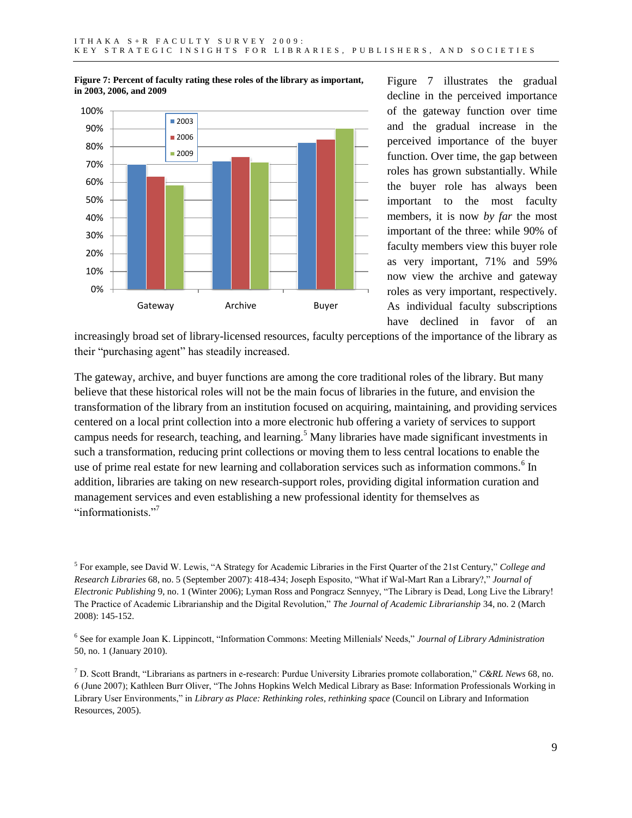

<span id="page-10-0"></span>**Figure 7: Percent of faculty rating these roles of the library as important, in 2003, 2006, and 2009**

[Figure 7](#page-10-0) illustrates the gradual decline in the perceived importance of the gateway function over time and the gradual increase in the perceived importance of the buyer function. Over time, the gap between roles has grown substantially. While the buyer role has always been important to the most faculty members, it is now *by far* the most important of the three: while 90% of faculty members view this buyer role as very important, 71% and 59% now view the archive and gateway roles as very important, respectively. As individual faculty subscriptions have declined in favor of an

increasingly broad set of library-licensed resources, faculty perceptions of the importance of the library as their "purchasing agent" has steadily increased.

The gateway, archive, and buyer functions are among the core traditional roles of the library. But many believe that these historical roles will not be the main focus of libraries in the future, and envision the transformation of the library from an institution focused on acquiring, maintaining, and providing services centered on a local print collection into a more electronic hub offering a variety of services to support campus needs for research, teaching, and learning.<sup>5</sup> Many libraries have made significant investments in such a transformation, reducing print collections or moving them to less central locations to enable the use of prime real estate for new learning and collaboration services such as information commons.<sup>6</sup> In addition, libraries are taking on new research-support roles, providing digital information curation and management services and even establishing a new professional identity for themselves as "informationists."<sup>7</sup>

5 For example, see David W. Lewis, "A Strategy for Academic Libraries in the First Quarter of the 21st Century," *College and Research Libraries* 68, no. 5 (September 2007): 418-434; Joseph Esposito, "What if Wal-Mart Ran a Library?," *Journal of Electronic Publishing* 9, no. 1 (Winter 2006); Lyman Ross and Pongracz Sennyey, "The Library is Dead, Long Live the Library! The Practice of Academic Librarianship and the Digital Revolution," *The Journal of Academic Librarianship* 34, no. 2 (March 2008): 145-152.

6 See for example Joan K. Lippincott, "Information Commons: Meeting Millenials' Needs," *Journal of Library Administration* 50, no. 1 (January 2010).

<sup>7</sup> D. Scott Brandt, "Librarians as partners in e-research: Purdue University Libraries promote collaboration," *C&RL News* 68, no. 6 (June 2007); Kathleen Burr Oliver, "The Johns Hopkins Welch Medical Library as Base: Information Professionals Working in Library User Environments," in *Library as Place: Rethinking roles, rethinking space* (Council on Library and Information Resources, 2005).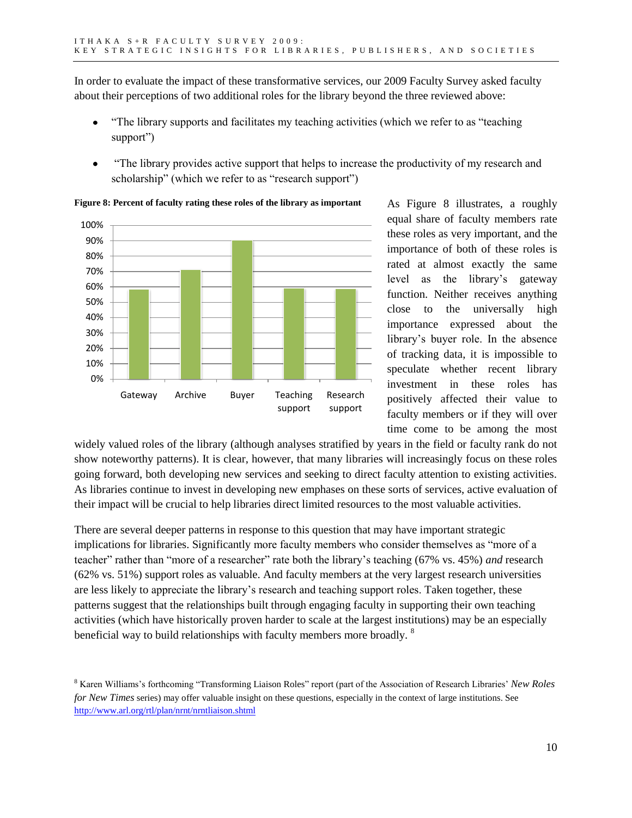In order to evaluate the impact of these transformative services, our 2009 Faculty Survey asked faculty about their perceptions of two additional roles for the library beyond the three reviewed above:

- "The library supports and facilitates my teaching activities (which we refer to as "teaching support")
- "The library provides active support that helps to increase the productivity of my research and scholarship" (which we refer to as "research support")



<span id="page-11-0"></span>**Figure 8: Percent of faculty rating these roles of the library as important**

As [Figure 8](#page-11-0) illustrates, a roughly equal share of faculty members rate these roles as very important, and the importance of both of these roles is rated at almost exactly the same level as the library"s gateway function. Neither receives anything close to the universally high importance expressed about the library"s buyer role. In the absence of tracking data, it is impossible to speculate whether recent library investment in these roles has positively affected their value to faculty members or if they will over time come to be among the most

widely valued roles of the library (although analyses stratified by years in the field or faculty rank do not show noteworthy patterns). It is clear, however, that many libraries will increasingly focus on these roles going forward, both developing new services and seeking to direct faculty attention to existing activities. As libraries continue to invest in developing new emphases on these sorts of services, active evaluation of their impact will be crucial to help libraries direct limited resources to the most valuable activities.

There are several deeper patterns in response to this question that may have important strategic implications for libraries. Significantly more faculty members who consider themselves as "more of a teacher" rather than "more of a researcher" rate both the library"s teaching (67% vs. 45%) *and* research (62% vs. 51%) support roles as valuable. And faculty members at the very largest research universities are less likely to appreciate the library"s research and teaching support roles. Taken together, these patterns suggest that the relationships built through engaging faculty in supporting their own teaching activities (which have historically proven harder to scale at the largest institutions) may be an especially beneficial way to build relationships with faculty members more broadly. <sup>8</sup>

<sup>8</sup> Karen Williams"s forthcoming "Transforming Liaison Roles" report (part of the Association of Research Libraries" *New Roles for New Times* series) may offer valuable insight on these questions, especially in the context of large institutions. See <http://www.arl.org/rtl/plan/nrnt/nrntliaison.shtml>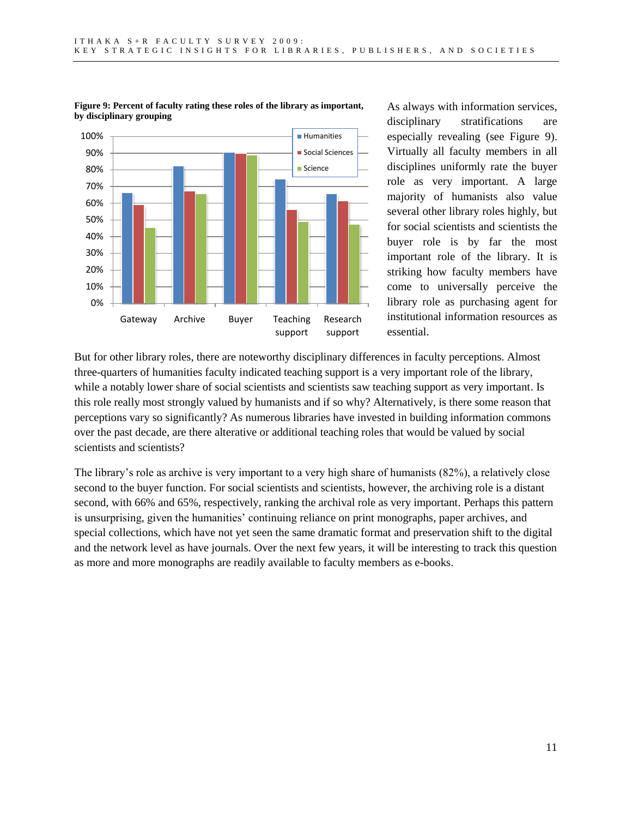

<span id="page-12-0"></span>**Figure 9: Percent of faculty rating these roles of the library as important, by disciplinary grouping**

As always with information services, disciplinary stratifications are especially revealing (see [Figure 9\)](#page-12-0). Virtually all faculty members in all disciplines uniformly rate the buyer role as very important. A large majority of humanists also value several other library roles highly, but for social scientists and scientists the buyer role is by far the most important role of the library. It is striking how faculty members have come to universally perceive the library role as purchasing agent for institutional information resources as essential.

But for other library roles, there are noteworthy disciplinary differences in faculty perceptions. Almost three-quarters of humanities faculty indicated teaching support is a very important role of the library, while a notably lower share of social scientists and scientists saw teaching support as very important. Is this role really most strongly valued by humanists and if so why? Alternatively, is there some reason that perceptions vary so significantly? As numerous libraries have invested in building information commons over the past decade, are there alterative or additional teaching roles that would be valued by social scientists and scientists?

The library"s role as archive is very important to a very high share of humanists (82%), a relatively close second to the buyer function. For social scientists and scientists, however, the archiving role is a distant second, with 66% and 65%, respectively, ranking the archival role as very important. Perhaps this pattern is unsurprising, given the humanities" continuing reliance on print monographs, paper archives, and special collections, which have not yet seen the same dramatic format and preservation shift to the digital and the network level as have journals. Over the next few years, it will be interesting to track this question as more and more monographs are readily available to faculty members as e-books.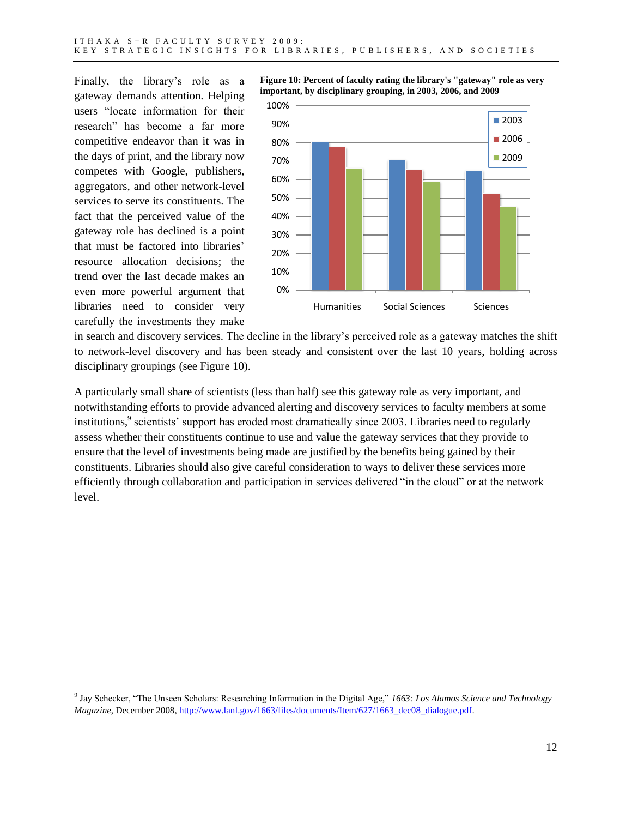Finally, the library's role as a gateway demands attention. Helping users "locate information for their research" has become a far more competitive endeavor than it was in the days of print, and the library now competes with Google, publishers, aggregators, and other network-level services to serve its constituents. The fact that the perceived value of the gateway role has declined is a point that must be factored into libraries" resource allocation decisions; the trend over the last decade makes an even more powerful argument that libraries need to consider very carefully the investments they make

<span id="page-13-0"></span>**Figure 10: Percent of faculty rating the library's "gateway" role as very important, by disciplinary grouping, in 2003, 2006, and 2009**



in search and discovery services. The decline in the library"s perceived role as a gateway matches the shift to network-level discovery and has been steady and consistent over the last 10 years, holding across disciplinary groupings (see [Figure 10\)](#page-13-0).

A particularly small share of scientists (less than half) see this gateway role as very important, and notwithstanding efforts to provide advanced alerting and discovery services to faculty members at some institutions,<sup>9</sup> scientists' support has eroded most dramatically since 2003. Libraries need to regularly assess whether their constituents continue to use and value the gateway services that they provide to ensure that the level of investments being made are justified by the benefits being gained by their constituents. Libraries should also give careful consideration to ways to deliver these services more efficiently through collaboration and participation in services delivered "in the cloud" or at the network level.

<sup>9</sup> Jay Schecker, "The Unseen Scholars: Researching Information in the Digital Age," *1663: Los Alamos Science and Technology Magazine*, December 2008[, http://www.lanl.gov/1663/files/documents/Item/627/1663\\_dec08\\_dialogue.pdf.](http://www.lanl.gov/1663/files/documents/Item/627/1663_dec08_dialogue.pdf)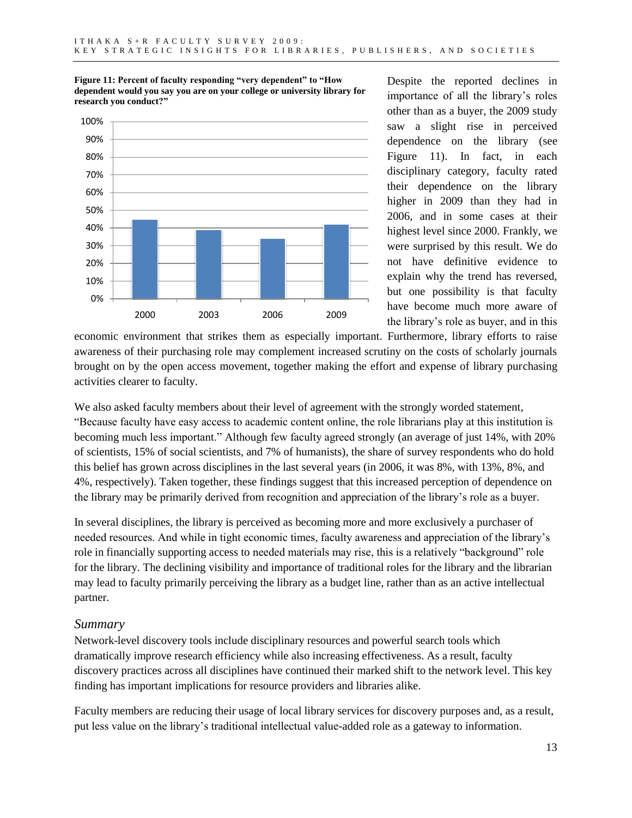

<span id="page-14-1"></span>**Figure 11: Percent of faculty responding "very dependent" to "How dependent would you say you are on your college or university library for research you conduct?"**

Despite the reported declines in importance of all the library"s roles other than as a buyer, the 2009 study saw a slight rise in perceived dependence on the library (see [Figure 11\)](#page-14-1). In fact, in each disciplinary category, faculty rated their dependence on the library higher in 2009 than they had in 2006, and in some cases at their highest level since 2000. Frankly, we were surprised by this result. We do not have definitive evidence to explain why the trend has reversed, but one possibility is that faculty have become much more aware of the library"s role as buyer, and in this

economic environment that strikes them as especially important. Furthermore, library efforts to raise awareness of their purchasing role may complement increased scrutiny on the costs of scholarly journals brought on by the open access movement, together making the effort and expense of library purchasing activities clearer to faculty.

We also asked faculty members about their level of agreement with the strongly worded statement, "Because faculty have easy access to academic content online, the role librarians play at this institution is becoming much less important." Although few faculty agreed strongly (an average of just 14%, with 20% of scientists, 15% of social scientists, and 7% of humanists), the share of survey respondents who do hold this belief has grown across disciplines in the last several years (in 2006, it was 8%, with 13%, 8%, and 4%, respectively). Taken together, these findings suggest that this increased perception of dependence on the library may be primarily derived from recognition and appreciation of the library"s role as a buyer.

In several disciplines, the library is perceived as becoming more and more exclusively a purchaser of needed resources. And while in tight economic times, faculty awareness and appreciation of the library"s role in financially supporting access to needed materials may rise, this is a relatively "background" role for the library. The declining visibility and importance of traditional roles for the library and the librarian may lead to faculty primarily perceiving the library as a budget line, rather than as an active intellectual partner.

#### <span id="page-14-0"></span>*Summary*

Network-level discovery tools include disciplinary resources and powerful search tools which dramatically improve research efficiency while also increasing effectiveness. As a result, faculty discovery practices across all disciplines have continued their marked shift to the network level. This key finding has important implications for resource providers and libraries alike.

Faculty members are reducing their usage of local library services for discovery purposes and, as a result, put less value on the library"s traditional intellectual value-added role as a gateway to information.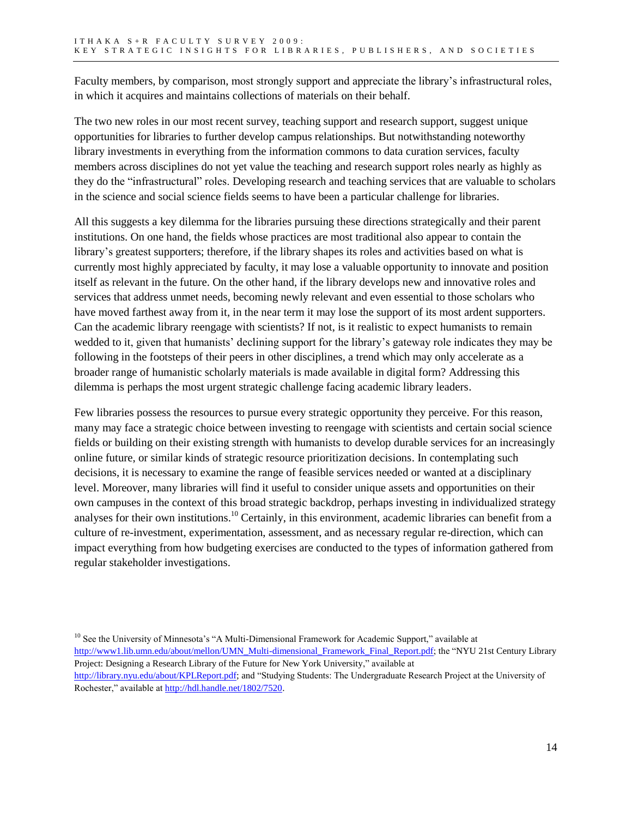Faculty members, by comparison, most strongly support and appreciate the library"s infrastructural roles, in which it acquires and maintains collections of materials on their behalf.

The two new roles in our most recent survey, teaching support and research support, suggest unique opportunities for libraries to further develop campus relationships. But notwithstanding noteworthy library investments in everything from the information commons to data curation services, faculty members across disciplines do not yet value the teaching and research support roles nearly as highly as they do the "infrastructural" roles. Developing research and teaching services that are valuable to scholars in the science and social science fields seems to have been a particular challenge for libraries.

All this suggests a key dilemma for the libraries pursuing these directions strategically and their parent institutions. On one hand, the fields whose practices are most traditional also appear to contain the library"s greatest supporters; therefore, if the library shapes its roles and activities based on what is currently most highly appreciated by faculty, it may lose a valuable opportunity to innovate and position itself as relevant in the future. On the other hand, if the library develops new and innovative roles and services that address unmet needs, becoming newly relevant and even essential to those scholars who have moved farthest away from it, in the near term it may lose the support of its most ardent supporters. Can the academic library reengage with scientists? If not, is it realistic to expect humanists to remain wedded to it, given that humanists' declining support for the library's gateway role indicates they may be following in the footsteps of their peers in other disciplines, a trend which may only accelerate as a broader range of humanistic scholarly materials is made available in digital form? Addressing this dilemma is perhaps the most urgent strategic challenge facing academic library leaders.

Few libraries possess the resources to pursue every strategic opportunity they perceive. For this reason, many may face a strategic choice between investing to reengage with scientists and certain social science fields or building on their existing strength with humanists to develop durable services for an increasingly online future, or similar kinds of strategic resource prioritization decisions. In contemplating such decisions, it is necessary to examine the range of feasible services needed or wanted at a disciplinary level. Moreover, many libraries will find it useful to consider unique assets and opportunities on their own campuses in the context of this broad strategic backdrop, perhaps investing in individualized strategy analyses for their own institutions.<sup>10</sup> Certainly, in this environment, academic libraries can benefit from a culture of re-investment, experimentation, assessment, and as necessary regular re-direction, which can impact everything from how budgeting exercises are conducted to the types of information gathered from regular stakeholder investigations.

 $10$  See the University of Minnesota's "A Multi-Dimensional Framework for Academic Support," available at [http://www1.lib.umn.edu/about/mellon/UMN\\_Multi-dimensional\\_Framework\\_Final\\_Report.pdf;](http://www1.lib.umn.edu/about/mellon/UMN_Multi-dimensional_Framework_Final_Report.pdf) the "NYU 21st Century Library Project: Designing a Research Library of the Future for New York University," available at [http://library.nyu.edu/about/KPLReport.pdf;](http://library.nyu.edu/about/KPLReport.pdf) and "Studying Students: The Undergraduate Research Project at the University of Rochester," available at [http://hdl.handle.net/1802/7520.](http://hdl.handle.net/1802/7520)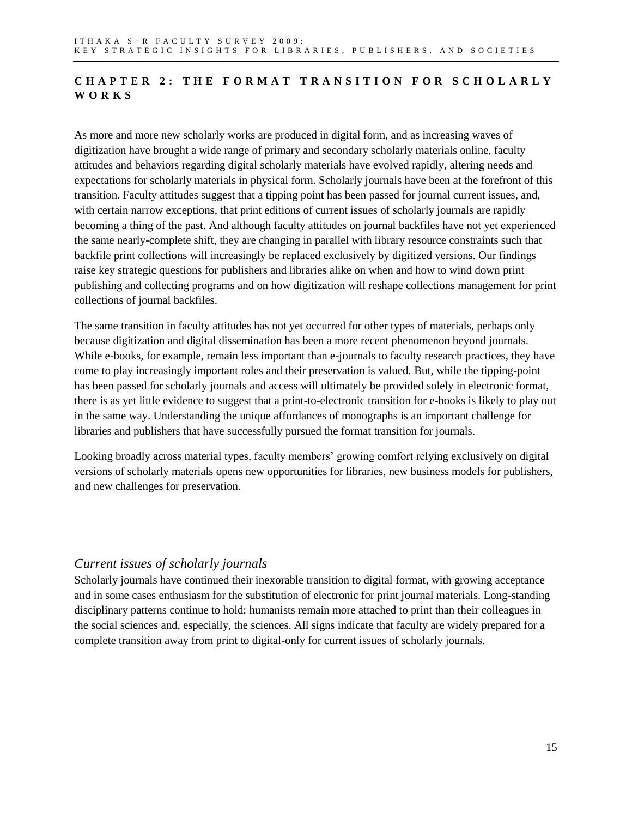## <span id="page-16-0"></span>**C H A P T E R 2 : T H E F O R M A T T R A N S I T I O N F O R S C H O L A R L Y W O R K S**

As more and more new scholarly works are produced in digital form, and as increasing waves of digitization have brought a wide range of primary and secondary scholarly materials online, faculty attitudes and behaviors regarding digital scholarly materials have evolved rapidly, altering needs and expectations for scholarly materials in physical form. Scholarly journals have been at the forefront of this transition. Faculty attitudes suggest that a tipping point has been passed for journal current issues, and, with certain narrow exceptions, that print editions of current issues of scholarly journals are rapidly becoming a thing of the past. And although faculty attitudes on journal backfiles have not yet experienced the same nearly-complete shift, they are changing in parallel with library resource constraints such that backfile print collections will increasingly be replaced exclusively by digitized versions. Our findings raise key strategic questions for publishers and libraries alike on when and how to wind down print publishing and collecting programs and on how digitization will reshape collections management for print collections of journal backfiles.

The same transition in faculty attitudes has not yet occurred for other types of materials, perhaps only because digitization and digital dissemination has been a more recent phenomenon beyond journals. While e-books, for example, remain less important than e-journals to faculty research practices, they have come to play increasingly important roles and their preservation is valued. But, while the tipping-point has been passed for scholarly journals and access will ultimately be provided solely in electronic format, there is as yet little evidence to suggest that a print-to-electronic transition for e-books is likely to play out in the same way. Understanding the unique affordances of monographs is an important challenge for libraries and publishers that have successfully pursued the format transition for journals.

Looking broadly across material types, faculty members" growing comfort relying exclusively on digital versions of scholarly materials opens new opportunities for libraries, new business models for publishers, and new challenges for preservation.

## <span id="page-16-1"></span>*Current issues of scholarly journals*

Scholarly journals have continued their inexorable transition to digital format, with growing acceptance and in some cases enthusiasm for the substitution of electronic for print journal materials. Long-standing disciplinary patterns continue to hold: humanists remain more attached to print than their colleagues in the social sciences and, especially, the sciences. All signs indicate that faculty are widely prepared for a complete transition away from print to digital-only for current issues of scholarly journals.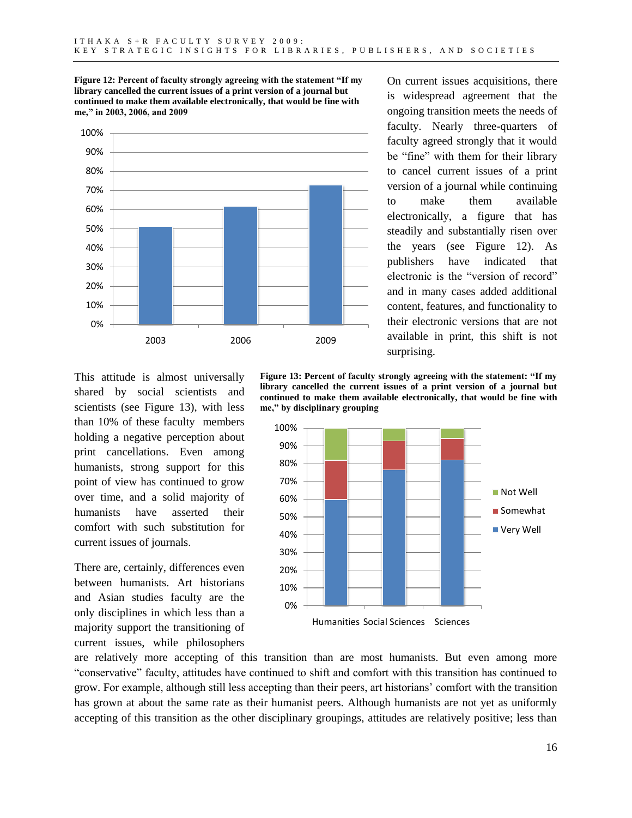<span id="page-17-0"></span>**Figure 12: Percent of faculty strongly agreeing with the statement "If my library cancelled the current issues of a print version of a journal but continued to make them available electronically, that would be fine with me," in 2003, 2006, and 2009** 



On current issues acquisitions, there is widespread agreement that the ongoing transition meets the needs of faculty. Nearly three-quarters of faculty agreed strongly that it would be "fine" with them for their library to cancel current issues of a print version of a journal while continuing to make them available electronically, a figure that has steadily and substantially risen over the years (see [Figure 12\)](#page-17-0). As publishers have indicated that electronic is the "version of record" and in many cases added additional content, features, and functionality to their electronic versions that are not available in print, this shift is not surprising.

This attitude is almost universally shared by social scientists and scientists (see [Figure 13\)](#page-17-1), with less than 10% of these faculty members holding a negative perception about print cancellations. Even among humanists, strong support for this point of view has continued to grow over time, and a solid majority of humanists have asserted their comfort with such substitution for current issues of journals.

There are, certainly, differences even between humanists. Art historians and Asian studies faculty are the only disciplines in which less than a majority support the transitioning of current issues, while philosophers

<span id="page-17-1"></span>**Figure 13: Percent of faculty strongly agreeing with the statement: "If my library cancelled the current issues of a print version of a journal but continued to make them available electronically, that would be fine with me," by disciplinary grouping**



are relatively more accepting of this transition than are most humanists. But even among more "conservative" faculty, attitudes have continued to shift and comfort with this transition has continued to grow. For example, although still less accepting than their peers, art historians" comfort with the transition has grown at about the same rate as their humanist peers. Although humanists are not yet as uniformly accepting of this transition as the other disciplinary groupings, attitudes are relatively positive; less than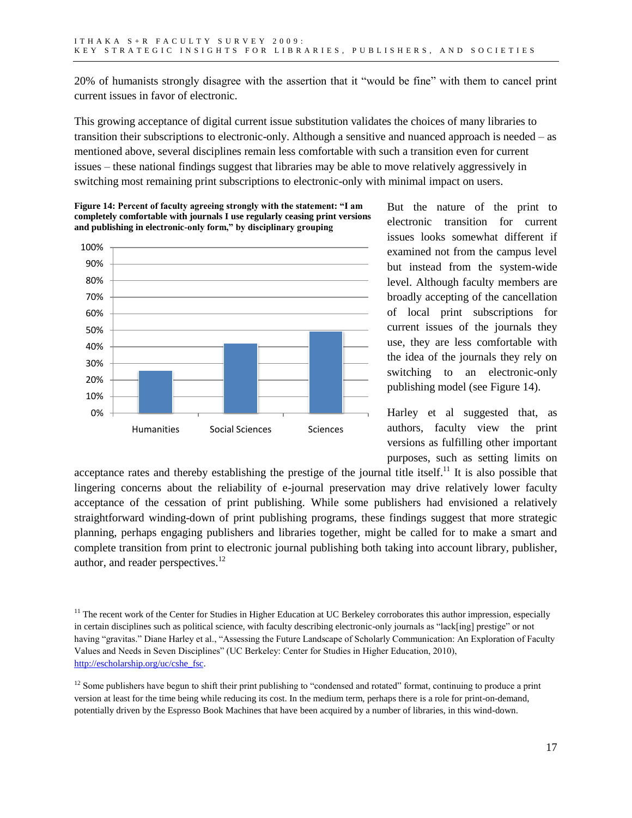20% of humanists strongly disagree with the assertion that it "would be fine" with them to cancel print current issues in favor of electronic.

This growing acceptance of digital current issue substitution validates the choices of many libraries to transition their subscriptions to electronic-only. Although a sensitive and nuanced approach is needed – as mentioned above, several disciplines remain less comfortable with such a transition even for current issues – these national findings suggest that libraries may be able to move relatively aggressively in switching most remaining print subscriptions to electronic-only with minimal impact on users.



<span id="page-18-0"></span>

But the nature of the print to electronic transition for current issues looks somewhat different if examined not from the campus level but instead from the system-wide level. Although faculty members are broadly accepting of the cancellation of local print subscriptions for current issues of the journals they use, they are less comfortable with the idea of the journals they rely on switching to an electronic-only publishing model (see [Figure 14\)](#page-18-0).

Harley et al suggested that, as authors, faculty view the print versions as fulfilling other important purposes, such as setting limits on

acceptance rates and thereby establishing the prestige of the journal title itself.<sup>11</sup> It is also possible that lingering concerns about the reliability of e-journal preservation may drive relatively lower faculty acceptance of the cessation of print publishing. While some publishers had envisioned a relatively straightforward winding-down of print publishing programs, these findings suggest that more strategic planning, perhaps engaging publishers and libraries together, might be called for to make a smart and complete transition from print to electronic journal publishing both taking into account library, publisher, author, and reader perspectives.<sup>12</sup>

<sup>&</sup>lt;sup>11</sup> The recent work of the Center for Studies in Higher Education at UC Berkeley corroborates this author impression, especially in certain disciplines such as political science, with faculty describing electronic-only journals as "lack[ing] prestige" or not having "gravitas." Diane Harley et al., "Assessing the Future Landscape of Scholarly Communication: An Exploration of Faculty Values and Needs in Seven Disciplines" (UC Berkeley: Center for Studies in Higher Education, 2010), [http://escholarship.org/uc/cshe\\_fsc.](http://escholarship.org/uc/cshe_fsc)

<sup>&</sup>lt;sup>12</sup> Some publishers have begun to shift their print publishing to "condensed and rotated" format, continuing to produce a print version at least for the time being while reducing its cost. In the medium term, perhaps there is a role for print-on-demand, potentially driven by the Espresso Book Machines that have been acquired by a number of libraries, in this wind-down.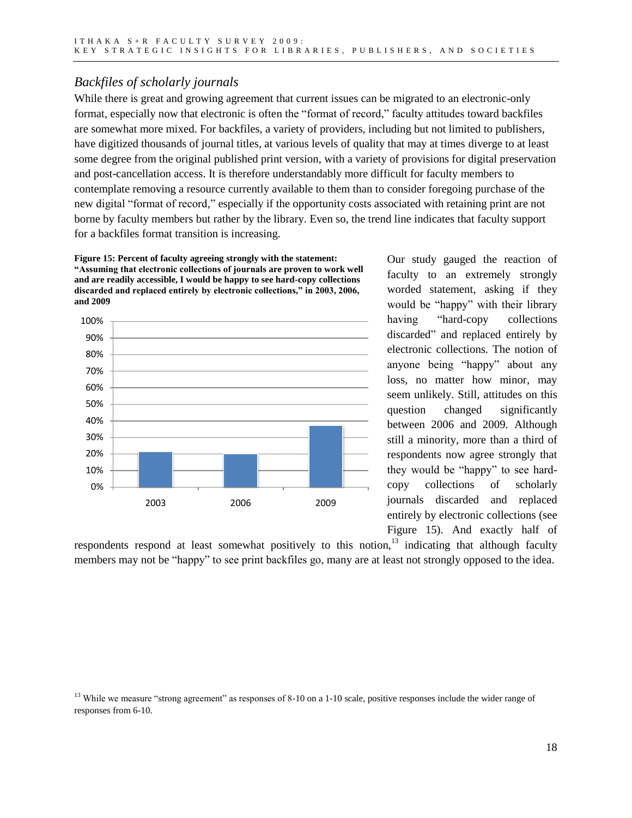## <span id="page-19-0"></span>*Backfiles of scholarly journals*

While there is great and growing agreement that current issues can be migrated to an electronic-only format, especially now that electronic is often the "format of record," faculty attitudes toward backfiles are somewhat more mixed. For backfiles, a variety of providers, including but not limited to publishers, have digitized thousands of journal titles, at various levels of quality that may at times diverge to at least some degree from the original published print version, with a variety of provisions for digital preservation and post-cancellation access. It is therefore understandably more difficult for faculty members to contemplate removing a resource currently available to them than to consider foregoing purchase of the new digital "format of record," especially if the opportunity costs associated with retaining print are not borne by faculty members but rather by the library. Even so, the trend line indicates that faculty support for a backfiles format transition is increasing.

<span id="page-19-1"></span>**Figure 15: Percent of faculty agreeing strongly with the statement: "Assuming that electronic collections of journals are proven to work well and are readily accessible, I would be happy to see hard-copy collections discarded and replaced entirely by electronic collections," in 2003, 2006, and 2009**



Our study gauged the reaction of faculty to an extremely strongly worded statement, asking if they would be "happy" with their library having "hard-copy collections" discarded" and replaced entirely by electronic collections. The notion of anyone being "happy" about any loss, no matter how minor, may seem unlikely. Still, attitudes on this question changed significantly between 2006 and 2009. Although still a minority, more than a third of respondents now agree strongly that they would be "happy" to see hardcopy collections of scholarly journals discarded and replaced entirely by electronic collections (see [Figure 15\)](#page-19-1). And exactly half of

respondents respond at least somewhat positively to this notion, $13$  indicating that although faculty members may not be "happy" to see print backfiles go, many are at least not strongly opposed to the idea.

<sup>13</sup> While we measure "strong agreement" as responses of 8-10 on a 1-10 scale, positive responses include the wider range of responses from 6-10.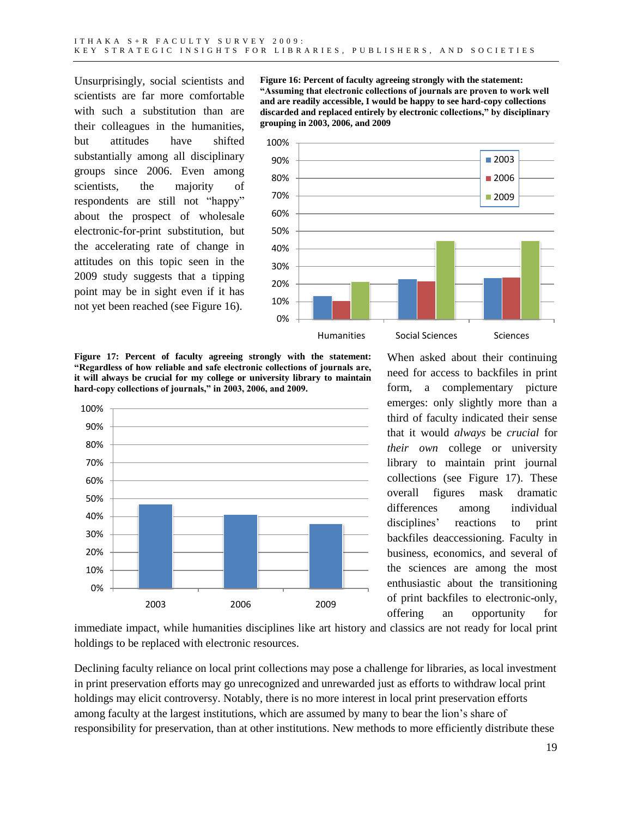Unsurprisingly, social scientists and scientists are far more comfortable with such a substitution than are their colleagues in the humanities, but attitudes have shifted substantially among all disciplinary groups since 2006. Even among scientists, the majority of respondents are still not "happy" about the prospect of wholesale electronic-for-print substitution, but the accelerating rate of change in attitudes on this topic seen in the 2009 study suggests that a tipping point may be in sight even if it has not yet been reached (see [Figure 16\)](#page-20-0).

<span id="page-20-0"></span>**Figure 16: Percent of faculty agreeing strongly with the statement: "Assuming that electronic collections of journals are proven to work well and are readily accessible, I would be happy to see hard-copy collections discarded and replaced entirely by electronic collections," by disciplinary grouping in 2003, 2006, and 2009**



<span id="page-20-1"></span>**Figure 17: Percent of faculty agreeing strongly with the statement: "Regardless of how reliable and safe electronic collections of journals are, it will always be crucial for my college or university library to maintain hard-copy collections of journals," in 2003, 2006, and 2009.**



When asked about their continuing need for access to backfiles in print form, a complementary picture emerges: only slightly more than a third of faculty indicated their sense that it would *always* be *crucial* for *their own* college or university library to maintain print journal collections (see [Figure 17\)](#page-20-1). These overall figures mask dramatic differences among individual disciplines" reactions to print backfiles deaccessioning. Faculty in business, economics, and several of the sciences are among the most enthusiastic about the transitioning of print backfiles to electronic-only, offering an opportunity for

immediate impact, while humanities disciplines like art history and classics are not ready for local print holdings to be replaced with electronic resources.

Declining faculty reliance on local print collections may pose a challenge for libraries, as local investment in print preservation efforts may go unrecognized and unrewarded just as efforts to withdraw local print holdings may elicit controversy. Notably, there is no more interest in local print preservation efforts among faculty at the largest institutions, which are assumed by many to bear the lion"s share of responsibility for preservation, than at other institutions. New methods to more efficiently distribute these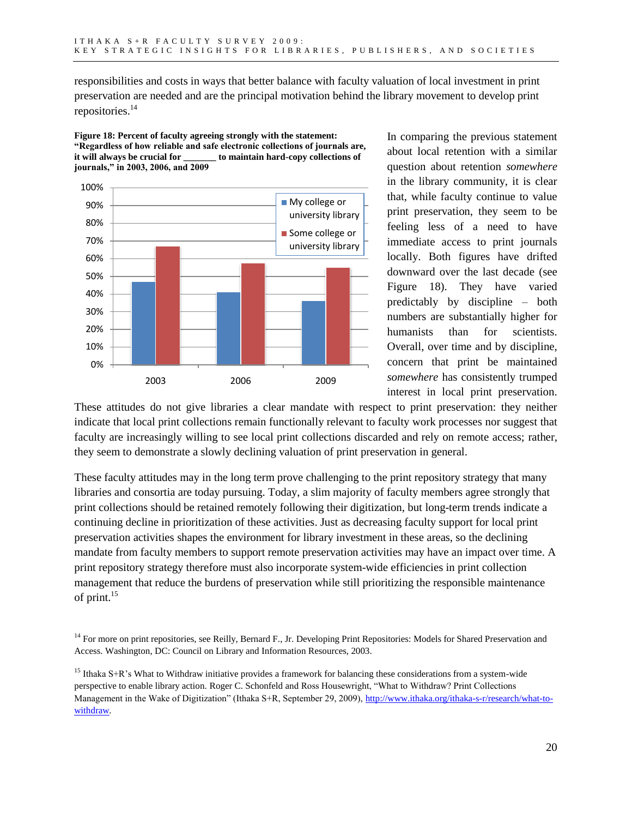responsibilities and costs in ways that better balance with faculty valuation of local investment in print preservation are needed and are the principal motivation behind the library movement to develop print repositories.<sup>14</sup>

<span id="page-21-0"></span>**Figure 18: Percent of faculty agreeing strongly with the statement: "Regardless of how reliable and safe electronic collections of journals are, it will always be crucial for \_\_\_\_\_\_\_ to maintain hard-copy collections of journals," in 2003, 2006, and 2009**



In comparing the previous statement about local retention with a similar question about retention *somewhere* in the library community, it is clear that, while faculty continue to value print preservation, they seem to be feeling less of a need to have immediate access to print journals locally. Both figures have drifted downward over the last decade (see [Figure 18\)](#page-21-0). They have varied predictably by discipline – both numbers are substantially higher for humanists than for scientists. Overall, over time and by discipline, concern that print be maintained *somewhere* has consistently trumped interest in local print preservation.

These attitudes do not give libraries a clear mandate with respect to print preservation: they neither indicate that local print collections remain functionally relevant to faculty work processes nor suggest that faculty are increasingly willing to see local print collections discarded and rely on remote access; rather, they seem to demonstrate a slowly declining valuation of print preservation in general.

These faculty attitudes may in the long term prove challenging to the print repository strategy that many libraries and consortia are today pursuing. Today, a slim majority of faculty members agree strongly that print collections should be retained remotely following their digitization, but long-term trends indicate a continuing decline in prioritization of these activities. Just as decreasing faculty support for local print preservation activities shapes the environment for library investment in these areas, so the declining mandate from faculty members to support remote preservation activities may have an impact over time. A print repository strategy therefore must also incorporate system-wide efficiencies in print collection management that reduce the burdens of preservation while still prioritizing the responsible maintenance of print.<sup>15</sup>

<sup>&</sup>lt;sup>14</sup> For more on print repositories, see Reilly, Bernard F., Jr. Developing Print Repositories: Models for Shared Preservation and Access. Washington, DC: Council on Library and Information Resources, 2003.

<sup>&</sup>lt;sup>15</sup> Ithaka S+R's What to Withdraw initiative provides a framework for balancing these considerations from a system-wide perspective to enable library action. Roger C. Schonfeld and Ross Housewright, "What to Withdraw? Print Collections Management in the Wake of Digitization" (Ithaka S+R, September 29, 2009), [http://www.ithaka.org/ithaka-s-r/research/what-to](http://www.ithaka.org/ithaka-s-r/research/what-to-withdraw)[withdraw.](http://www.ithaka.org/ithaka-s-r/research/what-to-withdraw)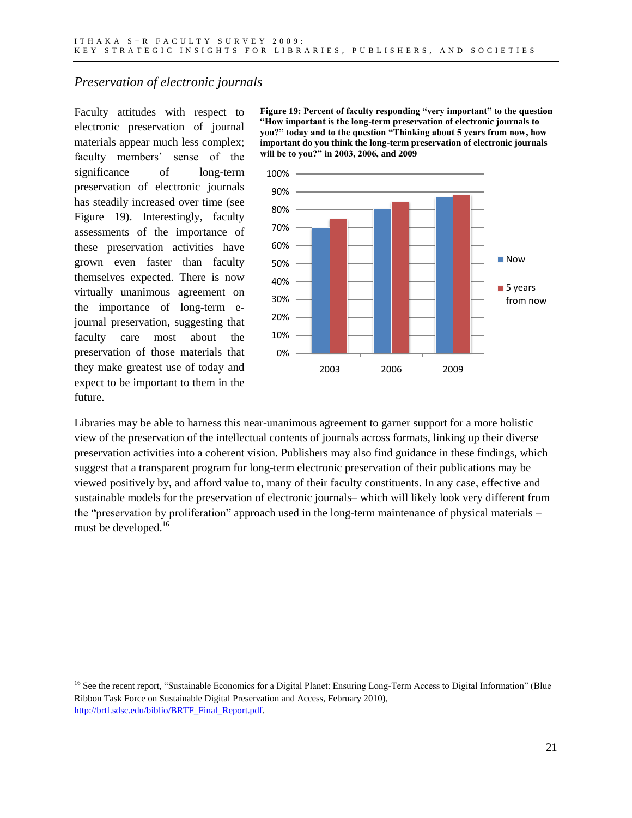### <span id="page-22-0"></span>*Preservation of electronic journals*

Faculty attitudes with respect to electronic preservation of journal materials appear much less complex; faculty members' sense of the significance of long-term preservation of electronic journals has steadily increased over time (see [Figure 19\)](#page-22-1). Interestingly, faculty assessments of the importance of these preservation activities have grown even faster than faculty themselves expected. There is now virtually unanimous agreement on the importance of long-term ejournal preservation, suggesting that faculty care most about the preservation of those materials that they make greatest use of today and expect to be important to them in the future.

<span id="page-22-1"></span>**Figure 19: Percent of faculty responding "very important" to the question "How important is the long-term preservation of electronic journals to you?" today and to the question "Thinking about 5 years from now, how important do you think the long-term preservation of electronic journals will be to you?" in 2003, 2006, and 2009**



Libraries may be able to harness this near-unanimous agreement to garner support for a more holistic view of the preservation of the intellectual contents of journals across formats, linking up their diverse preservation activities into a coherent vision. Publishers may also find guidance in these findings, which suggest that a transparent program for long-term electronic preservation of their publications may be viewed positively by, and afford value to, many of their faculty constituents. In any case, effective and sustainable models for the preservation of electronic journals– which will likely look very different from the "preservation by proliferation" approach used in the long-term maintenance of physical materials – must be developed. $16$ 

<sup>16</sup> See the recent report, "Sustainable Economics for a Digital Planet: Ensuring Long-Term Access to Digital Information" (Blue Ribbon Task Force on Sustainable Digital Preservation and Access, February 2010), [http://brtf.sdsc.edu/biblio/BRTF\\_Final\\_Report.pdf.](http://brtf.sdsc.edu/biblio/BRTF_Final_Report.pdf)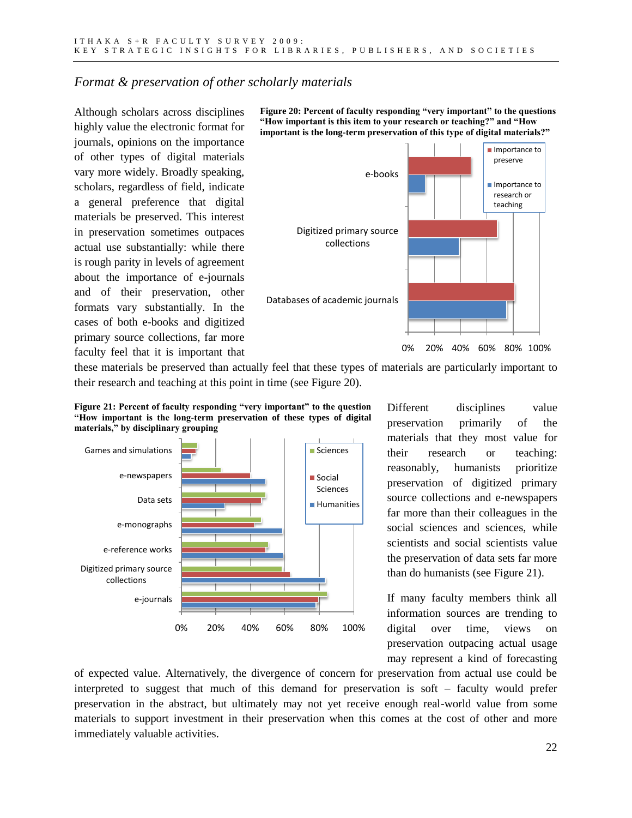#### <span id="page-23-0"></span>*Format & preservation of other scholarly materials*

Although scholars across disciplines highly value the electronic format for journals, opinions on the importance of other types of digital materials vary more widely. Broadly speaking, scholars, regardless of field, indicate a general preference that digital materials be preserved. This interest in preservation sometimes outpaces actual use substantially: while there is rough parity in levels of agreement about the importance of e-journals and of their preservation, other formats vary substantially. In the cases of both e-books and digitized primary source collections, far more faculty feel that it is important that <span id="page-23-1"></span>**Figure 20: Percent of faculty responding "very important" to the questions "How important is this item to your research or teaching?" and "How important is the long-term preservation of this type of digital materials?"**



these materials be preserved than actually feel that these types of materials are particularly important to their research and teaching at this point in time (se[e Figure 20\)](#page-23-1).

<span id="page-23-2"></span>



Different disciplines value preservation primarily of the materials that they most value for their research or teaching: reasonably, humanists prioritize preservation of digitized primary source collections and e-newspapers far more than their colleagues in the social sciences and sciences, while scientists and social scientists value the preservation of data sets far more than do humanists (see [Figure 21\)](#page-23-2).

If many faculty members think all information sources are trending to digital over time, views on preservation outpacing actual usage may represent a kind of forecasting

of expected value. Alternatively, the divergence of concern for preservation from actual use could be interpreted to suggest that much of this demand for preservation is soft – faculty would prefer preservation in the abstract, but ultimately may not yet receive enough real-world value from some materials to support investment in their preservation when this comes at the cost of other and more immediately valuable activities.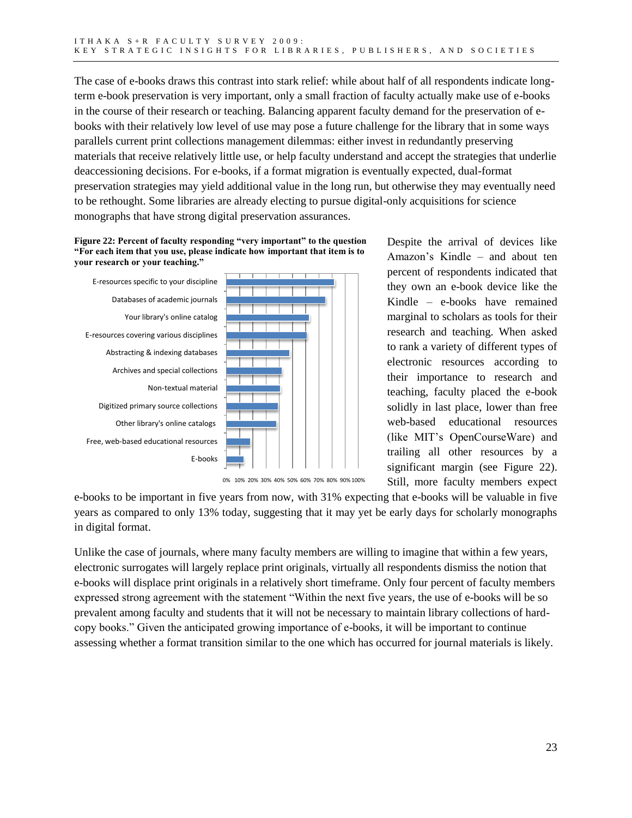The case of e-books draws this contrast into stark relief: while about half of all respondents indicate longterm e-book preservation is very important, only a small fraction of faculty actually make use of e-books in the course of their research or teaching. Balancing apparent faculty demand for the preservation of ebooks with their relatively low level of use may pose a future challenge for the library that in some ways parallels current print collections management dilemmas: either invest in redundantly preserving materials that receive relatively little use, or help faculty understand and accept the strategies that underlie deaccessioning decisions. For e-books, if a format migration is eventually expected, dual-format preservation strategies may yield additional value in the long run, but otherwise they may eventually need to be rethought. Some libraries are already electing to pursue digital-only acquisitions for science monographs that have strong digital preservation assurances.

<span id="page-24-0"></span>

E-resources specific to your discipline Databases of academic journals Your library's online catalog E-resources covering various disciplines Abstracting & indexing databases Archives and special collections Non-textual material Digitized primary source collections Other library's online catalogs Free, web-based educational resources E-books



Despite the arrival of devices like Amazon"s Kindle – and about ten percent of respondents indicated that they own an e-book device like the Kindle – e-books have remained marginal to scholars as tools for their research and teaching. When asked to rank a variety of different types of electronic resources according to their importance to research and teaching, faculty placed the e-book solidly in last place, lower than free web-based educational resources (like MIT"s OpenCourseWare) and trailing all other resources by a significant margin (see [Figure 22\)](#page-24-0). Still, more faculty members expect

0% 10% 20% 30% 40% 50% 60% 70% 80% 90% 100%

e-books to be important in five years from now, with 31% expecting that e-books will be valuable in five years as compared to only 13% today, suggesting that it may yet be early days for scholarly monographs in digital format.

Unlike the case of journals, where many faculty members are willing to imagine that within a few years, electronic surrogates will largely replace print originals, virtually all respondents dismiss the notion that e-books will displace print originals in a relatively short timeframe. Only four percent of faculty members expressed strong agreement with the statement "Within the next five years, the use of e-books will be so prevalent among faculty and students that it will not be necessary to maintain library collections of hardcopy books." Given the anticipated growing importance of e-books, it will be important to continue assessing whether a format transition similar to the one which has occurred for journal materials is likely.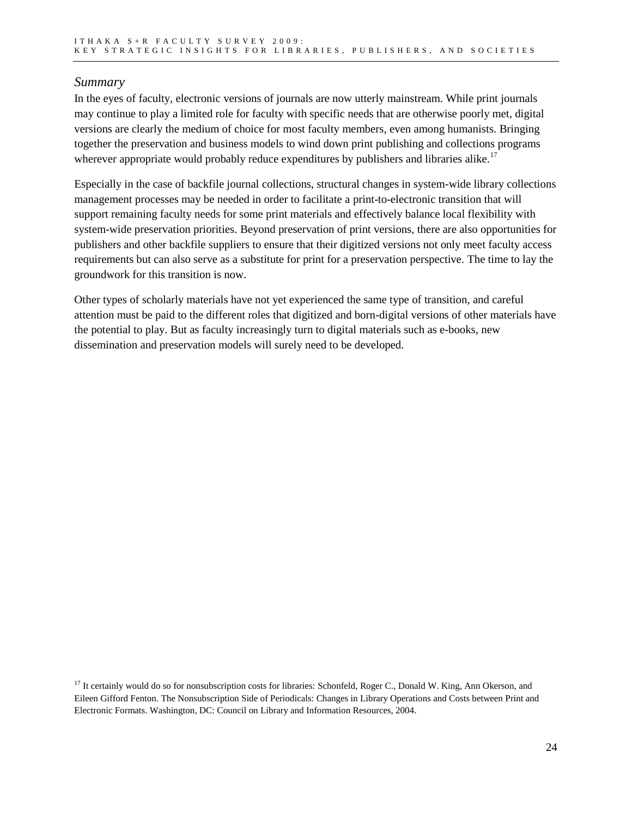## <span id="page-25-0"></span>*Summary*

In the eyes of faculty, electronic versions of journals are now utterly mainstream. While print journals may continue to play a limited role for faculty with specific needs that are otherwise poorly met, digital versions are clearly the medium of choice for most faculty members, even among humanists. Bringing together the preservation and business models to wind down print publishing and collections programs wherever appropriate would probably reduce expenditures by publishers and libraries alike.<sup>17</sup>

Especially in the case of backfile journal collections, structural changes in system-wide library collections management processes may be needed in order to facilitate a print-to-electronic transition that will support remaining faculty needs for some print materials and effectively balance local flexibility with system-wide preservation priorities. Beyond preservation of print versions, there are also opportunities for publishers and other backfile suppliers to ensure that their digitized versions not only meet faculty access requirements but can also serve as a substitute for print for a preservation perspective. The time to lay the groundwork for this transition is now.

Other types of scholarly materials have not yet experienced the same type of transition, and careful attention must be paid to the different roles that digitized and born-digital versions of other materials have the potential to play. But as faculty increasingly turn to digital materials such as e-books, new dissemination and preservation models will surely need to be developed.

<sup>&</sup>lt;sup>17</sup> It certainly would do so for nonsubscription costs for libraries: Schonfeld, Roger C., Donald W. King, Ann Okerson, and Eileen Gifford Fenton. The Nonsubscription Side of Periodicals: Changes in Library Operations and Costs between Print and Electronic Formats. Washington, DC: Council on Library and Information Resources, 2004.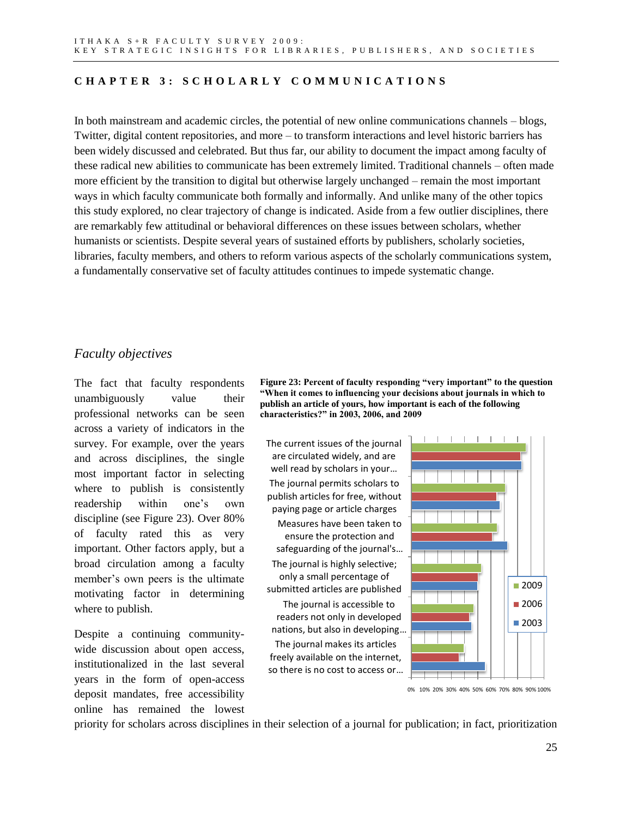#### <span id="page-26-0"></span>**C H A P T E R 3 : S C H O L A R L Y C O M M U N I C A T I O N S**

In both mainstream and academic circles, the potential of new online communications channels – blogs, Twitter, digital content repositories, and more – to transform interactions and level historic barriers has been widely discussed and celebrated. But thus far, our ability to document the impact among faculty of these radical new abilities to communicate has been extremely limited. Traditional channels – often made more efficient by the transition to digital but otherwise largely unchanged – remain the most important ways in which faculty communicate both formally and informally. And unlike many of the other topics this study explored, no clear trajectory of change is indicated. Aside from a few outlier disciplines, there are remarkably few attitudinal or behavioral differences on these issues between scholars, whether humanists or scientists. Despite several years of sustained efforts by publishers, scholarly societies, libraries, faculty members, and others to reform various aspects of the scholarly communications system, a fundamentally conservative set of faculty attitudes continues to impede systematic change.

#### <span id="page-26-1"></span>*Faculty objectives*

The fact that faculty respondents unambiguously value their professional networks can be seen across a variety of indicators in the survey. For example, over the years and across disciplines, the single most important factor in selecting where to publish is consistently readership within one"s own discipline (see Figure 23). Over 80% of faculty rated this as very important. Other factors apply, but a broad circulation among a faculty member's own peers is the ultimate motivating factor in determining where to publish.

Despite a continuing communitywide discussion about open access, institutionalized in the last several years in the form of open-access deposit mandates, free accessibility online has remained the lowest **Figure 23: Percent of faculty responding "very important" to the question "When it comes to influencing your decisions about journals in which to publish an article of yours, how important is each of the following characteristics?" in 2003, 2006, and 2009**

The journal is accessible to readers not only in developed nations, but also in developing.. The journal is highly selective; only a small percentage of submitted articles are published Measures have been taken to ensure the protection and safeguarding of the journal's... The journal permits scholars to publish articles for free, without paying page or article charges The current issues of the journal are circulated widely, and are well read by scholars in your...

The journal makes its articles freely available on the internet, so there is no cost to access or …



0% 10% 20% 30% 40% 50% 60% 70% 80% 90% 100%

priority for scholars across disciplines in their selection of a journal for publication; in fact, prioritization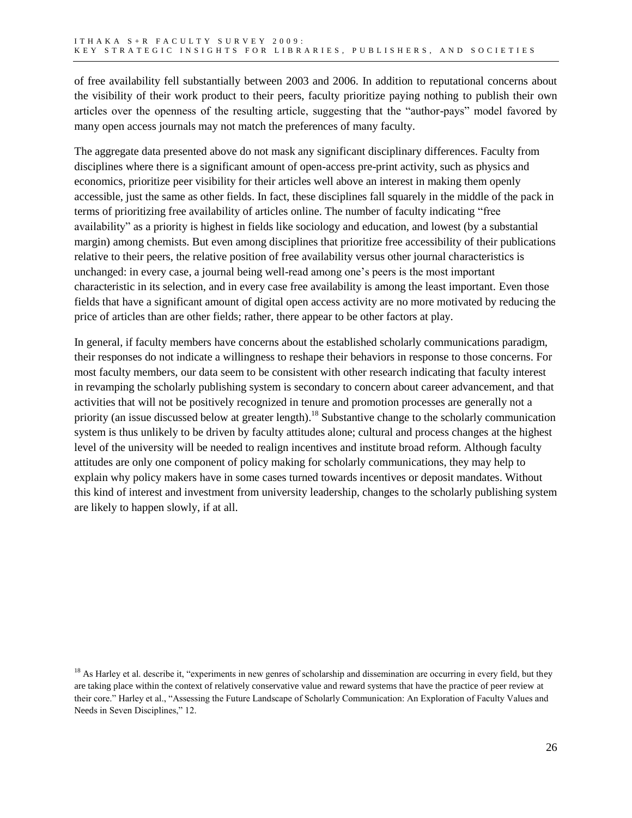of free availability fell substantially between 2003 and 2006. In addition to reputational concerns about the visibility of their work product to their peers, faculty prioritize paying nothing to publish their own articles over the openness of the resulting article, suggesting that the "author-pays" model favored by many open access journals may not match the preferences of many faculty.

The aggregate data presented above do not mask any significant disciplinary differences. Faculty from disciplines where there is a significant amount of open-access pre-print activity, such as physics and economics, prioritize peer visibility for their articles well above an interest in making them openly accessible, just the same as other fields. In fact, these disciplines fall squarely in the middle of the pack in terms of prioritizing free availability of articles online. The number of faculty indicating "free availability" as a priority is highest in fields like sociology and education, and lowest (by a substantial margin) among chemists. But even among disciplines that prioritize free accessibility of their publications relative to their peers, the relative position of free availability versus other journal characteristics is unchanged: in every case, a journal being well-read among one"s peers is the most important characteristic in its selection, and in every case free availability is among the least important. Even those fields that have a significant amount of digital open access activity are no more motivated by reducing the price of articles than are other fields; rather, there appear to be other factors at play.

In general, if faculty members have concerns about the established scholarly communications paradigm, their responses do not indicate a willingness to reshape their behaviors in response to those concerns. For most faculty members, our data seem to be consistent with other research indicating that faculty interest in revamping the scholarly publishing system is secondary to concern about career advancement, and that activities that will not be positively recognized in tenure and promotion processes are generally not a priority (an issue discussed below at greater length).<sup>18</sup> Substantive change to the scholarly communication system is thus unlikely to be driven by faculty attitudes alone; cultural and process changes at the highest level of the university will be needed to realign incentives and institute broad reform. Although faculty attitudes are only one component of policy making for scholarly communications, they may help to explain why policy makers have in some cases turned towards incentives or deposit mandates. Without this kind of interest and investment from university leadership, changes to the scholarly publishing system are likely to happen slowly, if at all.

<sup>&</sup>lt;sup>18</sup> As Harley et al. describe it, "experiments in new genres of scholarship and dissemination are occurring in every field, but they are taking place within the context of relatively conservative value and reward systems that have the practice of peer review at their core." Harley et al., "Assessing the Future Landscape of Scholarly Communication: An Exploration of Faculty Values and Needs in Seven Disciplines," 12.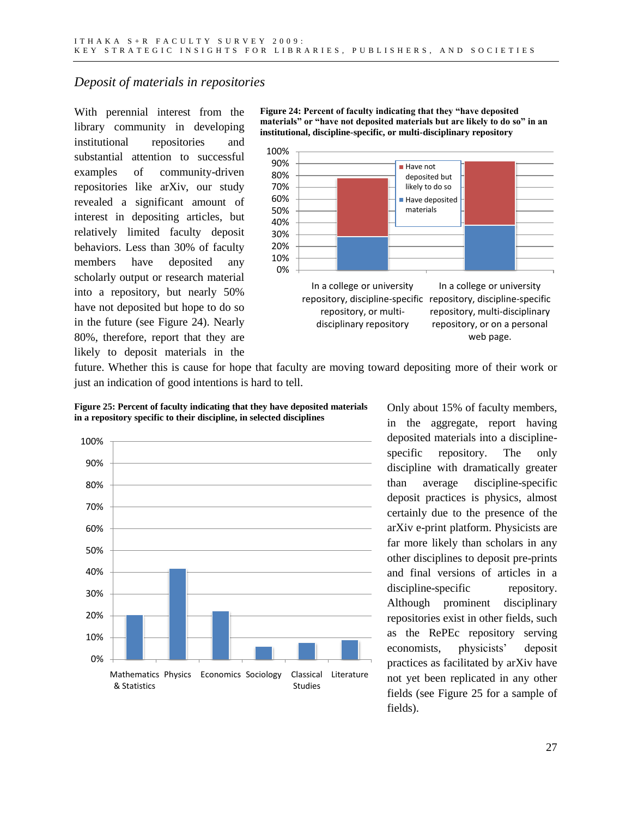### <span id="page-28-0"></span>*Deposit of materials in repositories*

With perennial interest from the library community in developing institutional repositories and substantial attention to successful examples of community-driven repositories like arXiv, our study revealed a significant amount of interest in depositing articles, but relatively limited faculty deposit behaviors. Less than 30% of faculty members have deposited any scholarly output or research material into a repository, but nearly 50% have not deposited but hope to do so in the future (see [Figure 24\)](#page-28-1). Nearly 80%, therefore, report that they are likely to deposit materials in the

<span id="page-28-1"></span>**Figure 24: Percent of faculty indicating that they "have deposited materials" or "have not deposited materials but are likely to do so" in an institutional, discipline-specific, or multi-disciplinary repository**



future. Whether this is cause for hope that faculty are moving toward depositing more of their work or just an indication of good intentions is hard to tell.



<span id="page-28-2"></span>**Figure 25: Percent of faculty indicating that they have deposited materials in a repository specific to their discipline, in selected disciplines**

Only about 15% of faculty members, in the aggregate, report having deposited materials into a disciplinespecific repository. The only discipline with dramatically greater than average discipline-specific deposit practices is physics, almost certainly due to the presence of the arXiv e-print platform. Physicists are far more likely than scholars in any other disciplines to deposit pre-prints and final versions of articles in a discipline-specific repository. Although prominent disciplinary repositories exist in other fields, such as the RePEc repository serving economists, physicists' deposit practices as facilitated by arXiv have not yet been replicated in any other fields (see [Figure 25](#page-28-2) for a sample of fields).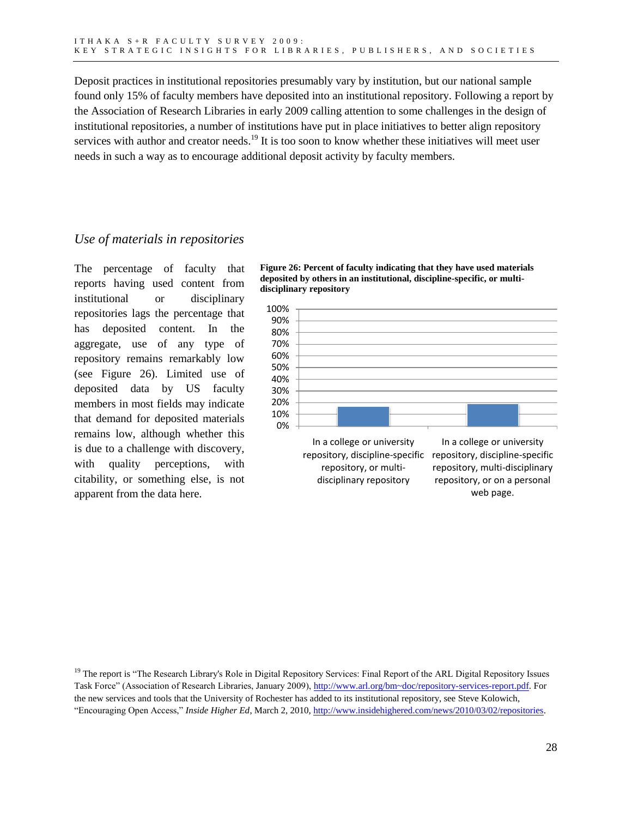Deposit practices in institutional repositories presumably vary by institution, but our national sample found only 15% of faculty members have deposited into an institutional repository. Following a report by the Association of Research Libraries in early 2009 calling attention to some challenges in the design of institutional repositories, a number of institutions have put in place initiatives to better align repository services with author and creator needs.<sup>19</sup> It is too soon to know whether these initiatives will meet user needs in such a way as to encourage additional deposit activity by faculty members.

#### <span id="page-29-0"></span>*Use of materials in repositories*

The percentage of faculty that reports having used content from institutional or disciplinary repositories lags the percentage that has deposited content. In the aggregate, use of any type of repository remains remarkably low (see [Figure 26\)](#page-29-1). Limited use of deposited data by US faculty members in most fields may indicate that demand for deposited materials remains low, although whether this is due to a challenge with discovery, with quality perceptions, with citability, or something else, is not apparent from the data here.

<span id="page-29-1"></span>**Figure 26: Percent of faculty indicating that they have used materials deposited by others in an institutional, discipline-specific, or multidisciplinary repository**



<sup>&</sup>lt;sup>19</sup> The report is "The Research Library's Role in Digital Repository Services: Final Report of the ARL Digital Repository Issues Task Force" (Association of Research Libraries, January 2009), [http://www.arl.org/bm~doc/repository-services-report.pdf.](http://www.arl.org/bm~doc/repository-services-report.pdf) For the new services and tools that the University of Rochester has added to its institutional repository, see Steve Kolowich, "Encouraging Open Access," *Inside Higher Ed*, March 2, 2010[, http://www.insidehighered.com/news/2010/03/02/repositories.](http://www.insidehighered.com/news/2010/03/02/repositories)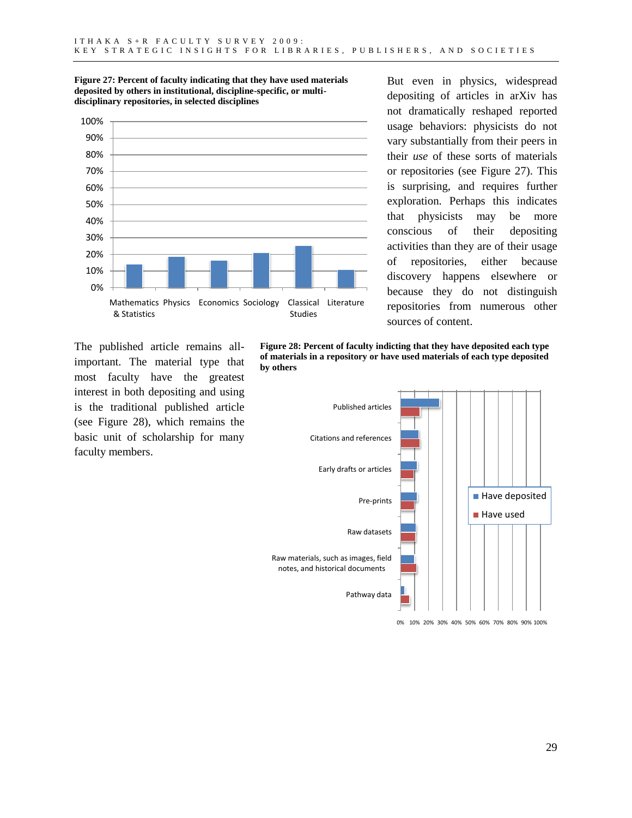

<span id="page-30-0"></span>**Figure 27: Percent of faculty indicating that they have used materials deposited by others in institutional, discipline-specific, or multidisciplinary repositories, in selected disciplines**

But even in physics, widespread depositing of articles in arXiv has not dramatically reshaped reported usage behaviors: physicists do not vary substantially from their peers in their *use* of these sorts of materials or repositories (see [Figure 27\)](#page-30-0). This is surprising, and requires further exploration. Perhaps this indicates that physicists may be more conscious of their depositing activities than they are of their usage of repositories, either because discovery happens elsewhere or because they do not distinguish repositories from numerous other sources of content.

The published article remains allimportant. The material type that most faculty have the greatest interest in both depositing and using is the traditional published article (see [Figure 28\)](#page-30-1), which remains the basic unit of scholarship for many faculty members.

<span id="page-30-1"></span>**Figure 28: Percent of faculty indicting that they have deposited each type of materials in a repository or have used materials of each type deposited by others**



0% 10% 20% 30% 40% 50% 60% 70% 80% 90% 100%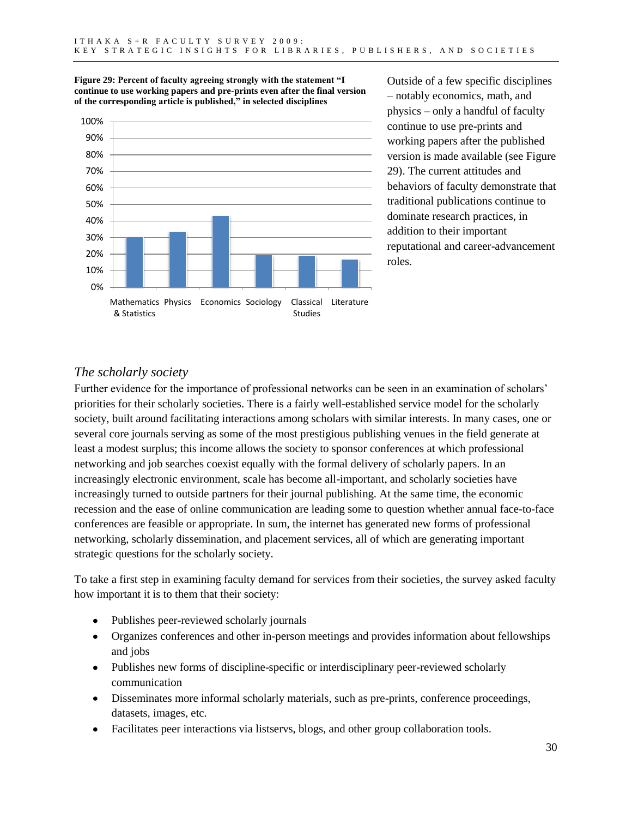0% 10% 20% 30% 40% 50% 60% 70% 80% 90% 100% Mathematics Physics Economics Sociology Classical & Statistics Studies Literature

<span id="page-31-1"></span>**Figure 29: Percent of faculty agreeing strongly with the statement "I continue to use working papers and pre-prints even after the final version of the corresponding article is published," in selected disciplines**

Outside of a few specific disciplines – notably economics, math, and physics – only a handful of faculty continue to use pre-prints and working papers after the published version is made available (see [Figure](#page-31-1)  [29\)](#page-31-1). The current attitudes and behaviors of faculty demonstrate that traditional publications continue to dominate research practices, in addition to their important reputational and career-advancement roles.

## <span id="page-31-0"></span>*The scholarly society*

Further evidence for the importance of professional networks can be seen in an examination of scholars' priorities for their scholarly societies. There is a fairly well-established service model for the scholarly society, built around facilitating interactions among scholars with similar interests. In many cases, one or several core journals serving as some of the most prestigious publishing venues in the field generate at least a modest surplus; this income allows the society to sponsor conferences at which professional networking and job searches coexist equally with the formal delivery of scholarly papers. In an increasingly electronic environment, scale has become all-important, and scholarly societies have increasingly turned to outside partners for their journal publishing. At the same time, the economic recession and the ease of online communication are leading some to question whether annual face-to-face conferences are feasible or appropriate. In sum, the internet has generated new forms of professional networking, scholarly dissemination, and placement services, all of which are generating important strategic questions for the scholarly society.

To take a first step in examining faculty demand for services from their societies, the survey asked faculty how important it is to them that their society:

- Publishes peer-reviewed scholarly journals
- Organizes conferences and other in-person meetings and provides information about fellowships and jobs
- Publishes new forms of discipline-specific or interdisciplinary peer-reviewed scholarly communication
- Disseminates more informal scholarly materials, such as pre-prints, conference proceedings, datasets, images, etc.
- Facilitates peer interactions via listservs, blogs, and other group collaboration tools.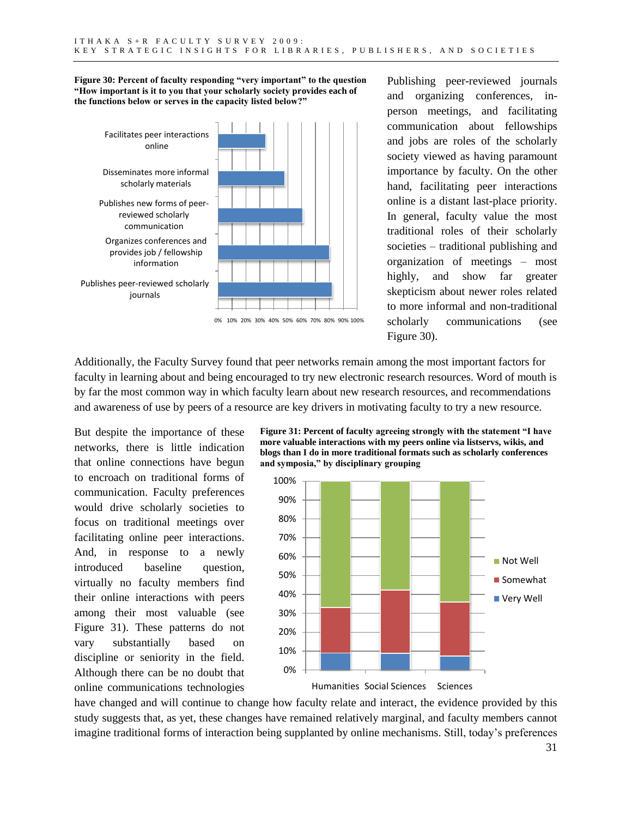<span id="page-32-0"></span>**Figure 30: Percent of faculty responding "very important" to the question "How important is it to you that your scholarly society provides each of the functions below or serves in the capacity listed below?"**



0% 10% 20% 30% 40% 50% 60% 70% 80% 90% 100%

Publishing peer-reviewed journals and organizing conferences, inperson meetings, and facilitating communication about fellowships and jobs are roles of the scholarly society viewed as having paramount importance by faculty. On the other hand, facilitating peer interactions online is a distant last-place priority. In general, faculty value the most traditional roles of their scholarly societies – traditional publishing and organization of meetings – most highly, and show far greater skepticism about newer roles related to more informal and non-traditional scholarly communications (see [Figure 30\)](#page-32-0).

Additionally, the Faculty Survey found that peer networks remain among the most important factors for faculty in learning about and being encouraged to try new electronic research resources. Word of mouth is by far the most common way in which faculty learn about new research resources, and recommendations and awareness of use by peers of a resource are key drivers in motivating faculty to try a new resource.

But despite the importance of these networks, there is little indication that online connections have begun to encroach on traditional forms of communication. Faculty preferences would drive scholarly societies to focus on traditional meetings over facilitating online peer interactions. And, in response to a newly introduced baseline question, virtually no faculty members find their online interactions with peers among their most valuable (see [Figure 31\)](#page-32-1). These patterns do not vary substantially based on discipline or seniority in the field. Although there can be no doubt that online communications technologies

<span id="page-32-1"></span>



have changed and will continue to change how faculty relate and interact, the evidence provided by this study suggests that, as yet, these changes have remained relatively marginal, and faculty members cannot imagine traditional forms of interaction being supplanted by online mechanisms. Still, today"s preferences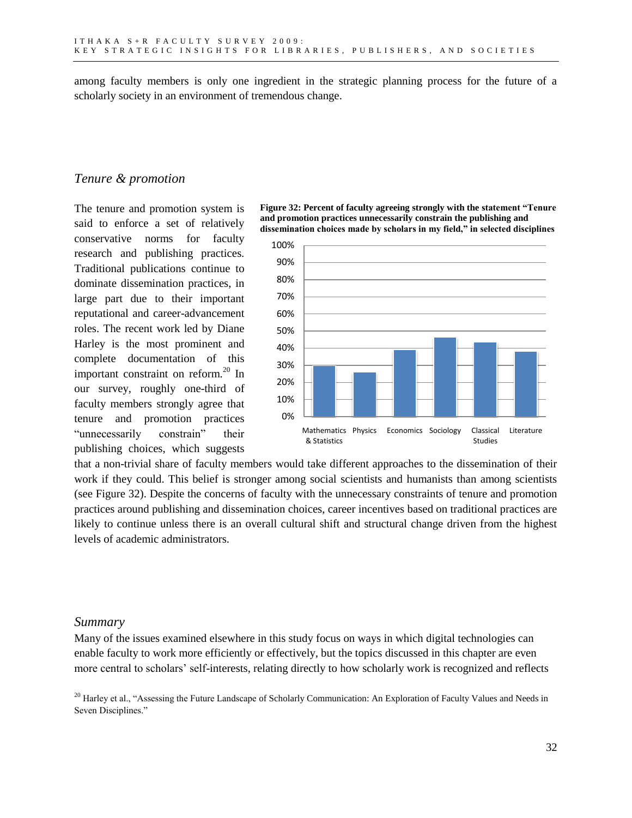among faculty members is only one ingredient in the strategic planning process for the future of a scholarly society in an environment of tremendous change.

#### <span id="page-33-0"></span>*Tenure & promotion*

The tenure and promotion system is said to enforce a set of relatively conservative norms for faculty research and publishing practices. Traditional publications continue to dominate dissemination practices, in large part due to their important reputational and career-advancement roles. The recent work led by Diane Harley is the most prominent and complete documentation of this important constraint on reform.<sup>20</sup> In our survey, roughly one-third of faculty members strongly agree that tenure and promotion practices "unnecessarily constrain" their publishing choices, which suggests <span id="page-33-2"></span>**Figure 32: Percent of faculty agreeing strongly with the statement "Tenure and promotion practices unnecessarily constrain the publishing and dissemination choices made by scholars in my field," in selected disciplines**



that a non-trivial share of faculty members would take different approaches to the dissemination of their work if they could. This belief is stronger among social scientists and humanists than among scientists (see [Figure 32\)](#page-33-2). Despite the concerns of faculty with the unnecessary constraints of tenure and promotion practices around publishing and dissemination choices, career incentives based on traditional practices are likely to continue unless there is an overall cultural shift and structural change driven from the highest levels of academic administrators.

#### <span id="page-33-1"></span>*Summary*

Many of the issues examined elsewhere in this study focus on ways in which digital technologies can enable faculty to work more efficiently or effectively, but the topics discussed in this chapter are even more central to scholars" self-interests, relating directly to how scholarly work is recognized and reflects

<sup>20</sup> Harley et al., "Assessing the Future Landscape of Scholarly Communication: An Exploration of Faculty Values and Needs in Seven Disciplines."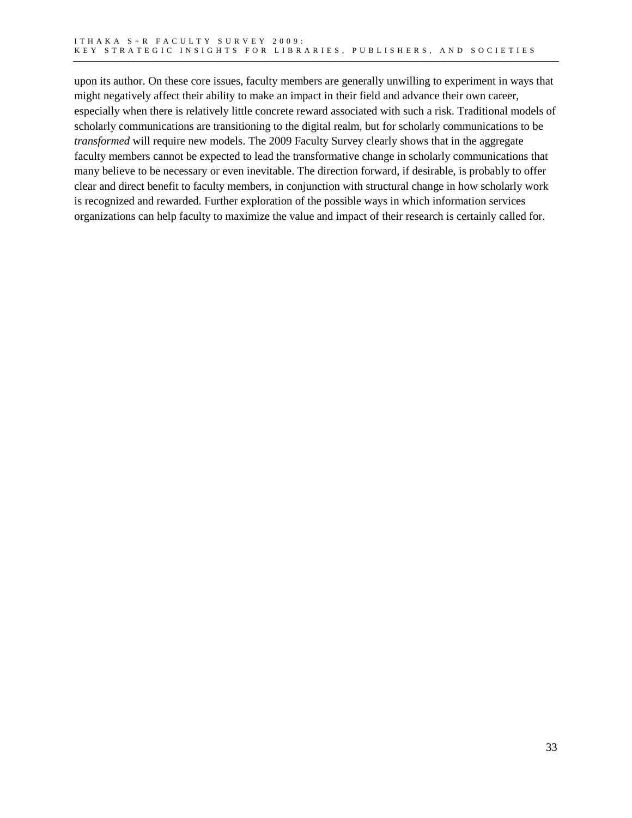upon its author. On these core issues, faculty members are generally unwilling to experiment in ways that might negatively affect their ability to make an impact in their field and advance their own career, especially when there is relatively little concrete reward associated with such a risk. Traditional models of scholarly communications are transitioning to the digital realm, but for scholarly communications to be *transformed* will require new models. The 2009 Faculty Survey clearly shows that in the aggregate faculty members cannot be expected to lead the transformative change in scholarly communications that many believe to be necessary or even inevitable. The direction forward, if desirable, is probably to offer clear and direct benefit to faculty members, in conjunction with structural change in how scholarly work is recognized and rewarded. Further exploration of the possible ways in which information services organizations can help faculty to maximize the value and impact of their research is certainly called for.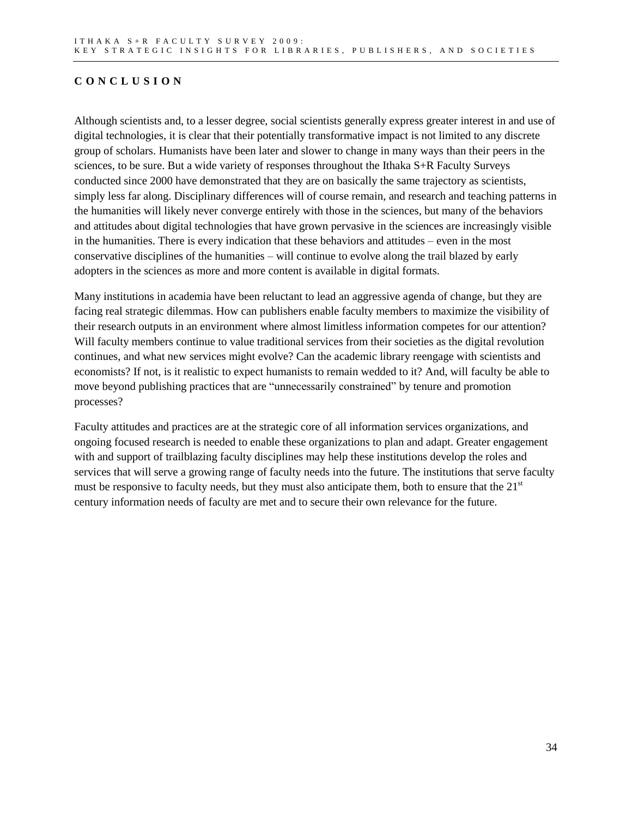#### <span id="page-35-0"></span>**C O N C L U S I O N**

Although scientists and, to a lesser degree, social scientists generally express greater interest in and use of digital technologies, it is clear that their potentially transformative impact is not limited to any discrete group of scholars. Humanists have been later and slower to change in many ways than their peers in the sciences, to be sure. But a wide variety of responses throughout the Ithaka S+R Faculty Surveys conducted since 2000 have demonstrated that they are on basically the same trajectory as scientists, simply less far along. Disciplinary differences will of course remain, and research and teaching patterns in the humanities will likely never converge entirely with those in the sciences, but many of the behaviors and attitudes about digital technologies that have grown pervasive in the sciences are increasingly visible in the humanities. There is every indication that these behaviors and attitudes – even in the most conservative disciplines of the humanities – will continue to evolve along the trail blazed by early adopters in the sciences as more and more content is available in digital formats.

Many institutions in academia have been reluctant to lead an aggressive agenda of change, but they are facing real strategic dilemmas. How can publishers enable faculty members to maximize the visibility of their research outputs in an environment where almost limitless information competes for our attention? Will faculty members continue to value traditional services from their societies as the digital revolution continues, and what new services might evolve? Can the academic library reengage with scientists and economists? If not, is it realistic to expect humanists to remain wedded to it? And, will faculty be able to move beyond publishing practices that are "unnecessarily constrained" by tenure and promotion processes?

Faculty attitudes and practices are at the strategic core of all information services organizations, and ongoing focused research is needed to enable these organizations to plan and adapt. Greater engagement with and support of trailblazing faculty disciplines may help these institutions develop the roles and services that will serve a growing range of faculty needs into the future. The institutions that serve faculty must be responsive to faculty needs, but they must also anticipate them, both to ensure that the  $21<sup>st</sup>$ century information needs of faculty are met and to secure their own relevance for the future.